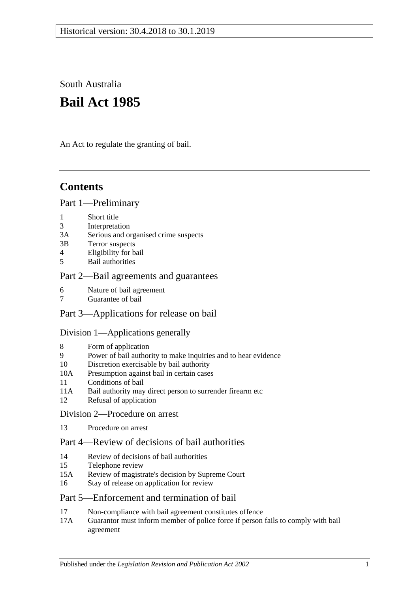South Australia

# **Bail Act 1985**

An Act to regulate the granting of bail.

## **Contents**

#### [Part 1—Preliminary](#page-1-0)

- 1 [Short title](#page-1-1)
- 3 [Interpretation](#page-1-2)
- 3A [Serious and organised crime suspects](#page-3-0)
- 3B [Terror suspects](#page-4-0)
- 4 [Eligibility for bail](#page-4-1)
- 5 [Bail authorities](#page-5-0)

## [Part 2—Bail agreements and guarantees](#page-6-0)

- 6 [Nature of bail agreement](#page-6-1)
- 7 [Guarantee of bail](#page-7-0)

## Part [3—Applications for release on bail](#page-8-0)

#### [Division 1—Applications generally](#page-8-1)

- 8 [Form of application](#page-8-2)
- 9 [Power of bail authority to make inquiries and to hear evidence](#page-9-0)
- 10 [Discretion exercisable by bail authority](#page-9-1)
- 10A [Presumption against bail in certain cases](#page-10-0)
- 11 [Conditions of bail](#page-11-0)
- 11A [Bail authority may direct person to surrender firearm etc](#page-15-0)
- 12 [Refusal of application](#page-16-0)

#### [Division 2—Procedure on arrest](#page-16-1)

13 [Procedure on arrest](#page-16-2)

## [Part 4—Review of decisions of bail authorities](#page-17-0)

- 14 [Review of decisions of bail authorities](#page-17-1)
- 15 [Telephone review](#page-17-2)
- 15A [Review of magistrate's decision by Supreme Court](#page-19-0)
- 16 [Stay of release on application for review](#page-19-1)

## [Part 5—Enforcement and termination of bail](#page-20-0)

- 17 [Non-compliance with bail agreement constitutes offence](#page-20-1)
- 17A [Guarantor must inform member of police force if person fails to comply with bail](#page-20-2)  [agreement](#page-20-2)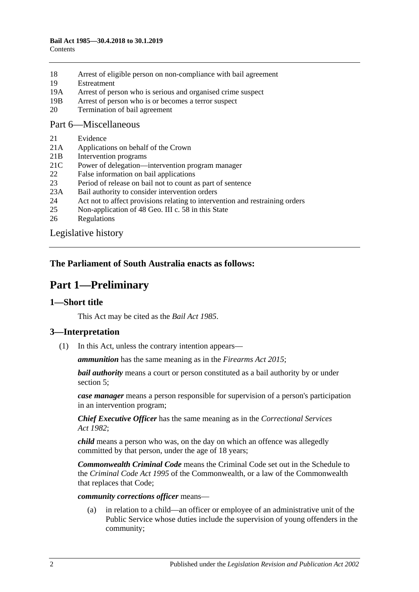- 18 [Arrest of eligible person on non-compliance with bail agreement](#page-21-0)
- 19 [Estreatment](#page-21-1)
- 19A [Arrest of person who is serious and organised crime suspect](#page-22-0)
- 19B [Arrest of person who is or becomes a terror suspect](#page-22-1)
- 20 [Termination of bail agreement](#page-22-2)

#### [Part 6—Miscellaneous](#page-22-3)

- 21 [Evidence](#page-22-4)
- 21A [Applications on behalf of the Crown](#page-22-5)
- 21B [Intervention programs](#page-23-0)
- 21C [Power of delegation—intervention program manager](#page-24-0)
- 22 [False information on bail applications](#page-24-1)
- 23 [Period of release on bail not to count as part of sentence](#page-24-2)
- 23A [Bail authority to consider intervention orders](#page-24-3)
- 24 [Act not to affect provisions relating to intervention and restraining orders](#page-25-0)
- 25 [Non-application of 48 Geo. III c. 58 in this State](#page-25-1)
- 26 [Regulations](#page-25-2)

[Legislative history](#page-26-0)

## <span id="page-1-0"></span>**The Parliament of South Australia enacts as follows:**

## **Part 1—Preliminary**

## <span id="page-1-1"></span>**1—Short title**

This Act may be cited as the *Bail Act 1985*.

## <span id="page-1-2"></span>**3—Interpretation**

(1) In this Act, unless the contrary intention appears—

*ammunition* has the same meaning as in the *[Firearms Act](http://www.legislation.sa.gov.au/index.aspx?action=legref&type=act&legtitle=Firearms%20Act%202015) 2015*;

*bail authority* means a court or person constituted as a bail authority by or under [section](#page-5-0) 5;

*case manager* means a person responsible for supervision of a person's participation in an intervention program;

*Chief Executive Officer* has the same meaning as in the *[Correctional Services](http://www.legislation.sa.gov.au/index.aspx?action=legref&type=act&legtitle=Correctional%20Services%20Act%201982)  Act [1982](http://www.legislation.sa.gov.au/index.aspx?action=legref&type=act&legtitle=Correctional%20Services%20Act%201982)*;

*child* means a person who was, on the day on which an offence was allegedly committed by that person, under the age of 18 years;

*Commonwealth Criminal Code* means the Criminal Code set out in the Schedule to the *Criminal Code Act 1995* of the Commonwealth, or a law of the Commonwealth that replaces that Code;

#### *community corrections officer* means—

(a) in relation to a child—an officer or employee of an administrative unit of the Public Service whose duties include the supervision of young offenders in the community;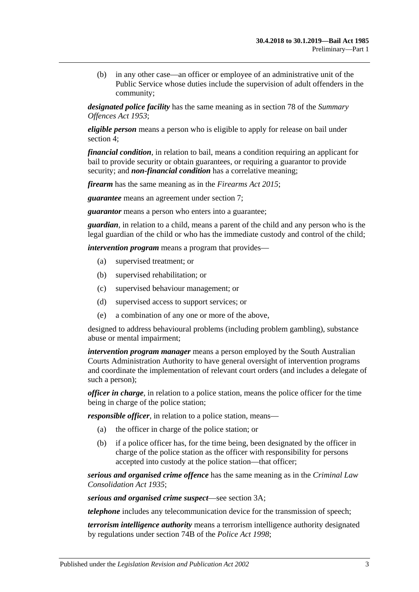(b) in any other case—an officer or employee of an administrative unit of the Public Service whose duties include the supervision of adult offenders in the community;

*designated police facility* has the same meaning as in section 78 of the *[Summary](http://www.legislation.sa.gov.au/index.aspx?action=legref&type=act&legtitle=Summary%20Offences%20Act%201953)  [Offences Act](http://www.legislation.sa.gov.au/index.aspx?action=legref&type=act&legtitle=Summary%20Offences%20Act%201953) 1953*;

*eligible person* means a person who is eligible to apply for release on bail under [section](#page-4-1) 4;

*financial condition*, in relation to bail, means a condition requiring an applicant for bail to provide security or obtain guarantees, or requiring a guarantor to provide security; and *non-financial condition* has a correlative meaning;

*firearm* has the same meaning as in the *[Firearms Act](http://www.legislation.sa.gov.au/index.aspx?action=legref&type=act&legtitle=Firearms%20Act%202015) 2015*;

*guarantee* means an agreement under [section](#page-7-0) 7;

*guarantor* means a person who enters into a guarantee;

*guardian*, in relation to a child, means a parent of the child and any person who is the legal guardian of the child or who has the immediate custody and control of the child;

*intervention program* means a program that provides—

- (a) supervised treatment; or
- (b) supervised rehabilitation; or
- (c) supervised behaviour management; or
- (d) supervised access to support services; or
- (e) a combination of any one or more of the above,

designed to address behavioural problems (including problem gambling), substance abuse or mental impairment;

*intervention program manager* means a person employed by the South Australian Courts Administration Authority to have general oversight of intervention programs and coordinate the implementation of relevant court orders (and includes a delegate of such a person);

*officer in charge*, in relation to a police station, means the police officer for the time being in charge of the police station;

*responsible officer*, in relation to a police station, means—

- (a) the officer in charge of the police station; or
- (b) if a police officer has, for the time being, been designated by the officer in charge of the police station as the officer with responsibility for persons accepted into custody at the police station—that officer;

*serious and organised crime offence* has the same meaning as in the *[Criminal Law](http://www.legislation.sa.gov.au/index.aspx?action=legref&type=act&legtitle=Criminal%20Law%20Consolidation%20Act%201935)  [Consolidation Act](http://www.legislation.sa.gov.au/index.aspx?action=legref&type=act&legtitle=Criminal%20Law%20Consolidation%20Act%201935) 1935*;

*serious and organised crime suspect*—see [section](#page-3-0) 3A;

*telephone* includes any telecommunication device for the transmission of speech;

*terrorism intelligence authority* means a terrorism intelligence authority designated by regulations under section 74B of the *[Police Act](http://www.legislation.sa.gov.au/index.aspx?action=legref&type=act&legtitle=Police%20Act%201998) 1998*;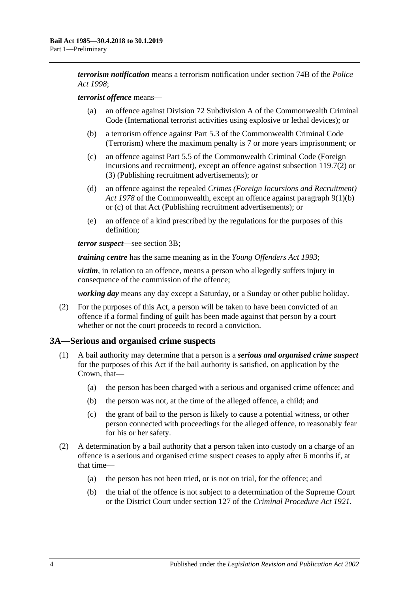*terrorism notification* means a terrorism notification under section 74B of the *[Police](http://www.legislation.sa.gov.au/index.aspx?action=legref&type=act&legtitle=Police%20Act%201998)  Act [1998](http://www.legislation.sa.gov.au/index.aspx?action=legref&type=act&legtitle=Police%20Act%201998)*;

#### *terrorist offence* means—

- (a) an offence against Division 72 Subdivision A of the Commonwealth Criminal Code (International terrorist activities using explosive or lethal devices); or
- (b) a terrorism offence against Part 5.3 of the Commonwealth Criminal Code (Terrorism) where the maximum penalty is 7 or more years imprisonment; or
- (c) an offence against Part 5.5 of the Commonwealth Criminal Code (Foreign incursions and recruitment), except an offence against subsection 119.7(2) or (3) (Publishing recruitment advertisements); or
- (d) an offence against the repealed *Crimes (Foreign Incursions and Recruitment) Act 1978* of the Commonwealth, except an offence against paragraph 9(1)(b) or (c) of that Act (Publishing recruitment advertisements); or
- (e) an offence of a kind prescribed by the regulations for the purposes of this definition;

*terror suspect*—see [section](#page-4-0) 3B;

*training centre* has the same meaning as in the *[Young Offenders Act](http://www.legislation.sa.gov.au/index.aspx?action=legref&type=act&legtitle=Young%20Offenders%20Act%201993) 1993*;

*victim*, in relation to an offence, means a person who allegedly suffers injury in consequence of the commission of the offence;

*working day* means any day except a Saturday, or a Sunday or other public holiday.

(2) For the purposes of this Act, a person will be taken to have been convicted of an offence if a formal finding of guilt has been made against that person by a court whether or not the court proceeds to record a conviction.

#### <span id="page-3-0"></span>**3A—Serious and organised crime suspects**

- <span id="page-3-3"></span><span id="page-3-2"></span>(1) A bail authority may determine that a person is a *serious and organised crime suspect* for the purposes of this Act if the bail authority is satisfied, on application by the Crown, that—
	- (a) the person has been charged with a serious and organised crime offence; and
	- (b) the person was not, at the time of the alleged offence, a child; and
	- (c) the grant of bail to the person is likely to cause a potential witness, or other person connected with proceedings for the alleged offence, to reasonably fear for his or her safety.
- <span id="page-3-4"></span><span id="page-3-1"></span>(2) A determination by a bail authority that a person taken into custody on a charge of an offence is a serious and organised crime suspect ceases to apply after 6 months if, at that time—
	- (a) the person has not been tried, or is not on trial, for the offence; and
	- (b) the trial of the offence is not subject to a determination of the Supreme Court or the District Court under section 127 of the *[Criminal Procedure Act 1921](http://www.legislation.sa.gov.au/index.aspx?action=legref&type=act&legtitle=Criminal%20Procedure%20Act%201921)*.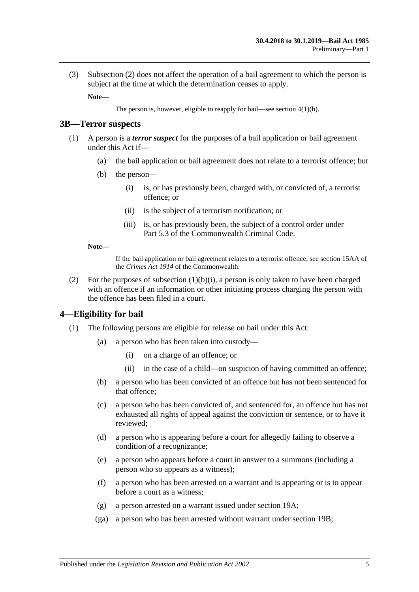(3) [Subsection](#page-3-1) (2) does not affect the operation of a bail agreement to which the person is subject at the time at which the determination ceases to apply.

**Note—**

The person is, however, eligible to reapply for bail—see section [4\(1\)\(h\).](#page-5-1)

#### <span id="page-4-0"></span>**3B—Terror suspects**

- <span id="page-4-2"></span>(1) A person is a *terror suspect* for the purposes of a bail application or bail agreement under this Act if—
	- (a) the bail application or bail agreement does not relate to a terrorist offence; but
	- (b) the person—
		- (i) is, or has previously been, charged with, or convicted of, a terrorist offence; or
		- (ii) is the subject of a terrorism notification; or
		- (iii) is, or has previously been, the subject of a control order under Part 5.3 of the Commonwealth Criminal Code.

#### **Note—**

If the bail application or bail agreement relates to a terrorist offence, see section 15AA of the *Crimes Act 1914* of the Commonwealth.

(2) For the purposes of [subsection](#page-4-2)  $(1)(b)(i)$ , a person is only taken to have been charged with an offence if an information or other initiating process charging the person with the offence has been filed in a court.

#### <span id="page-4-1"></span>**4—Eligibility for bail**

- (1) The following persons are eligible for release on bail under this Act:
	- (a) a person who has been taken into custody—
		- (i) on a charge of an offence; or
		- (ii) in the case of a child—on suspicion of having committed an offence;
	- (b) a person who has been convicted of an offence but has not been sentenced for that offence;
	- (c) a person who has been convicted of, and sentenced for, an offence but has not exhausted all rights of appeal against the conviction or sentence, or to have it reviewed;
	- (d) a person who is appearing before a court for allegedly failing to observe a condition of a recognizance;
	- (e) a person who appears before a court in answer to a summons (including a person who so appears as a witness);
	- (f) a person who has been arrested on a warrant and is appearing or is to appear before a court as a witness;
	- (g) a person arrested on a warrant issued under [section](#page-22-0) 19A;
	- (ga) a person who has been arrested without warrant under [section](#page-22-1) 19B;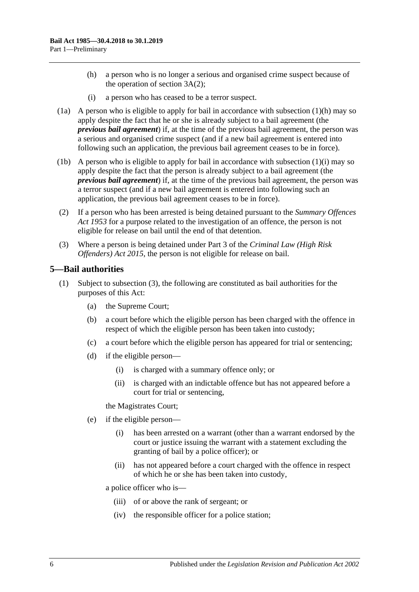- <span id="page-5-1"></span>(h) a person who is no longer a serious and organised crime suspect because of the operation of [section](#page-3-1) 3A(2);
- (i) a person who has ceased to be a terror suspect.
- <span id="page-5-2"></span>(1a) A person who is eligible to apply for bail in accordance with [subsection](#page-5-1)  $(1)(h)$  may so apply despite the fact that he or she is already subject to a bail agreement (the *previous bail agreement*) if, at the time of the previous bail agreement, the person was a serious and organised crime suspect (and if a new bail agreement is entered into following such an application, the previous bail agreement ceases to be in force).
- (1b) A person who is eligible to apply for bail in accordance with [subsection](#page-5-2) (1)(i) may so apply despite the fact that the person is already subject to a bail agreement (the *previous bail agreement*) if, at the time of the previous bail agreement, the person was a terror suspect (and if a new bail agreement is entered into following such an application, the previous bail agreement ceases to be in force).
- (2) If a person who has been arrested is being detained pursuant to the *[Summary Offences](http://www.legislation.sa.gov.au/index.aspx?action=legref&type=act&legtitle=Summary%20Offences%20Act%201953)  Act [1953](http://www.legislation.sa.gov.au/index.aspx?action=legref&type=act&legtitle=Summary%20Offences%20Act%201953)* for a purpose related to the investigation of an offence, the person is not eligible for release on bail until the end of that detention.
- (3) Where a person is being detained under Part 3 of the *[Criminal Law \(High Risk](http://www.legislation.sa.gov.au/index.aspx?action=legref&type=act&legtitle=Criminal%20Law%20(High%20Risk%20Offenders)%20Act%202015)  [Offenders\) Act](http://www.legislation.sa.gov.au/index.aspx?action=legref&type=act&legtitle=Criminal%20Law%20(High%20Risk%20Offenders)%20Act%202015) 2015*, the person is not eligible for release on bail.

#### <span id="page-5-3"></span><span id="page-5-0"></span>**5—Bail authorities**

- (1) Subject to [subsection](#page-6-2) (3), the following are constituted as bail authorities for the purposes of this Act:
	- (a) the Supreme Court;
	- (b) a court before which the eligible person has been charged with the offence in respect of which the eligible person has been taken into custody;
	- (c) a court before which the eligible person has appeared for trial or sentencing;
	- (d) if the eligible person—
		- (i) is charged with a summary offence only; or
		- (ii) is charged with an indictable offence but has not appeared before a court for trial or sentencing,

the Magistrates Court;

- (e) if the eligible person—
	- (i) has been arrested on a warrant (other than a warrant endorsed by the court or justice issuing the warrant with a statement excluding the granting of bail by a police officer); or
	- (ii) has not appeared before a court charged with the offence in respect of which he or she has been taken into custody,

a police officer who is—

- (iii) of or above the rank of sergeant; or
- (iv) the responsible officer for a police station;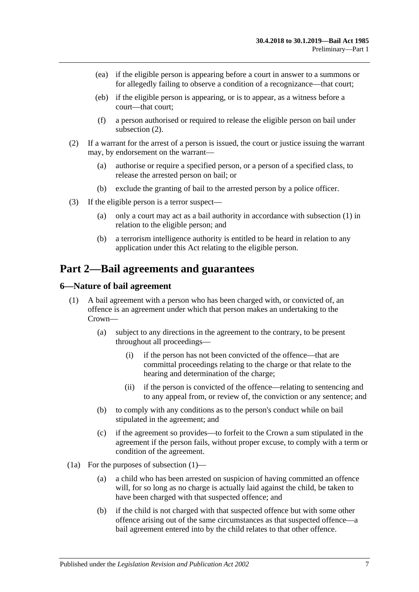- (ea) if the eligible person is appearing before a court in answer to a summons or for allegedly failing to observe a condition of a recognizance—that court;
- (eb) if the eligible person is appearing, or is to appear, as a witness before a court—that court;
- (f) a person authorised or required to release the eligible person on bail under [subsection](#page-6-3) (2).
- <span id="page-6-3"></span>(2) If a warrant for the arrest of a person is issued, the court or justice issuing the warrant may, by endorsement on the warrant—
	- (a) authorise or require a specified person, or a person of a specified class, to release the arrested person on bail; or
	- (b) exclude the granting of bail to the arrested person by a police officer.
- <span id="page-6-2"></span>(3) If the eligible person is a terror suspect—
	- (a) only a court may act as a bail authority in accordance with [subsection](#page-5-3) (1) in relation to the eligible person; and
	- (b) a terrorism intelligence authority is entitled to be heard in relation to any application under this Act relating to the eligible person.

## <span id="page-6-0"></span>**Part 2—Bail agreements and guarantees**

#### <span id="page-6-4"></span><span id="page-6-1"></span>**6—Nature of bail agreement**

- (1) A bail agreement with a person who has been charged with, or convicted of, an offence is an agreement under which that person makes an undertaking to the Crown—
	- (a) subject to any directions in the agreement to the contrary, to be present throughout all proceedings—
		- (i) if the person has not been convicted of the offence—that are committal proceedings relating to the charge or that relate to the hearing and determination of the charge;
		- (ii) if the person is convicted of the offence—relating to sentencing and to any appeal from, or review of, the conviction or any sentence; and
	- (b) to comply with any conditions as to the person's conduct while on bail stipulated in the agreement; and
	- (c) if the agreement so provides—to forfeit to the Crown a sum stipulated in the agreement if the person fails, without proper excuse, to comply with a term or condition of the agreement.
- (1a) For the purposes of [subsection](#page-6-4) (1)—
	- (a) a child who has been arrested on suspicion of having committed an offence will, for so long as no charge is actually laid against the child, be taken to have been charged with that suspected offence; and
	- (b) if the child is not charged with that suspected offence but with some other offence arising out of the same circumstances as that suspected offence—a bail agreement entered into by the child relates to that other offence.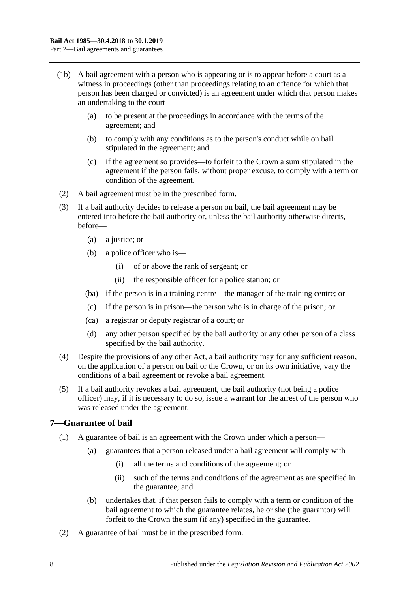- (1b) A bail agreement with a person who is appearing or is to appear before a court as a witness in proceedings (other than proceedings relating to an offence for which that person has been charged or convicted) is an agreement under which that person makes an undertaking to the court—
	- (a) to be present at the proceedings in accordance with the terms of the agreement; and
	- (b) to comply with any conditions as to the person's conduct while on bail stipulated in the agreement; and
	- (c) if the agreement so provides—to forfeit to the Crown a sum stipulated in the agreement if the person fails, without proper excuse, to comply with a term or condition of the agreement.
- (2) A bail agreement must be in the prescribed form.
- (3) If a bail authority decides to release a person on bail, the bail agreement may be entered into before the bail authority or, unless the bail authority otherwise directs, before—
	- (a) a justice; or
	- (b) a police officer who is—
		- (i) of or above the rank of sergeant; or
		- (ii) the responsible officer for a police station; or
	- (ba) if the person is in a training centre—the manager of the training centre; or
	- (c) if the person is in prison—the person who is in charge of the prison; or
	- (ca) a registrar or deputy registrar of a court; or
	- (d) any other person specified by the bail authority or any other person of a class specified by the bail authority.
- (4) Despite the provisions of any other Act, a bail authority may for any sufficient reason, on the application of a person on bail or the Crown, or on its own initiative, vary the conditions of a bail agreement or revoke a bail agreement.
- (5) If a bail authority revokes a bail agreement, the bail authority (not being a police officer) may, if it is necessary to do so, issue a warrant for the arrest of the person who was released under the agreement.

#### <span id="page-7-0"></span>**7—Guarantee of bail**

- (1) A guarantee of bail is an agreement with the Crown under which a person—
	- (a) guarantees that a person released under a bail agreement will comply with—
		- (i) all the terms and conditions of the agreement; or
		- (ii) such of the terms and conditions of the agreement as are specified in the guarantee; and
	- (b) undertakes that, if that person fails to comply with a term or condition of the bail agreement to which the guarantee relates, he or she (the guarantor) will forfeit to the Crown the sum (if any) specified in the guarantee.
- (2) A guarantee of bail must be in the prescribed form.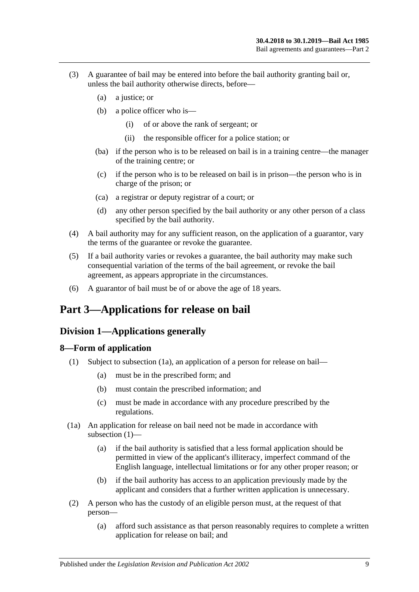- (3) A guarantee of bail may be entered into before the bail authority granting bail or, unless the bail authority otherwise directs, before—
	- (a) a justice; or
	- (b) a police officer who is—
		- (i) of or above the rank of sergeant; or
		- (ii) the responsible officer for a police station; or
	- (ba) if the person who is to be released on bail is in a training centre—the manager of the training centre; or
	- (c) if the person who is to be released on bail is in prison—the person who is in charge of the prison; or
	- (ca) a registrar or deputy registrar of a court; or
	- (d) any other person specified by the bail authority or any other person of a class specified by the bail authority.
- (4) A bail authority may for any sufficient reason, on the application of a guarantor, vary the terms of the guarantee or revoke the guarantee.
- (5) If a bail authority varies or revokes a guarantee, the bail authority may make such consequential variation of the terms of the bail agreement, or revoke the bail agreement, as appears appropriate in the circumstances.
- (6) A guarantor of bail must be of or above the age of 18 years.

## <span id="page-8-1"></span><span id="page-8-0"></span>**Part 3—Applications for release on bail**

## **Division 1—Applications generally**

#### <span id="page-8-4"></span><span id="page-8-2"></span>**8—Form of application**

- (1) Subject to [subsection](#page-8-3) (1a), an application of a person for release on bail—
	- (a) must be in the prescribed form; and
	- (b) must contain the prescribed information; and
	- (c) must be made in accordance with any procedure prescribed by the regulations.
- <span id="page-8-3"></span>(1a) An application for release on bail need not be made in accordance with [subsection](#page-8-4) (1)—
	- (a) if the bail authority is satisfied that a less formal application should be permitted in view of the applicant's illiteracy, imperfect command of the English language, intellectual limitations or for any other proper reason; or
	- (b) if the bail authority has access to an application previously made by the applicant and considers that a further written application is unnecessary.
- <span id="page-8-5"></span>(2) A person who has the custody of an eligible person must, at the request of that person—
	- (a) afford such assistance as that person reasonably requires to complete a written application for release on bail; and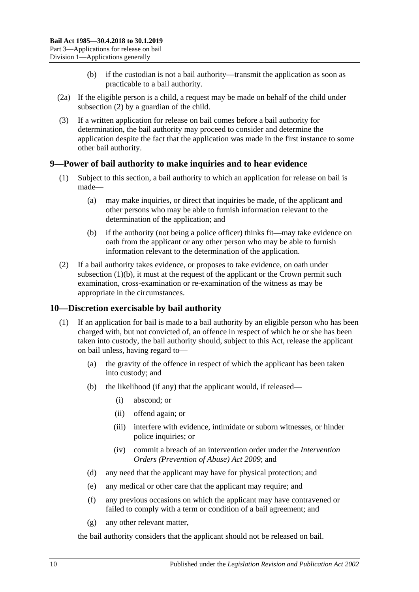- (b) if the custodian is not a bail authority—transmit the application as soon as practicable to a bail authority.
- (2a) If the eligible person is a child, a request may be made on behalf of the child under [subsection](#page-8-5) (2) by a guardian of the child.
- (3) If a written application for release on bail comes before a bail authority for determination, the bail authority may proceed to consider and determine the application despite the fact that the application was made in the first instance to some other bail authority.

## <span id="page-9-0"></span>**9—Power of bail authority to make inquiries and to hear evidence**

- (1) Subject to this section, a bail authority to which an application for release on bail is made—
	- (a) may make inquiries, or direct that inquiries be made, of the applicant and other persons who may be able to furnish information relevant to the determination of the application; and
	- (b) if the authority (not being a police officer) thinks fit—may take evidence on oath from the applicant or any other person who may be able to furnish information relevant to the determination of the application.
- <span id="page-9-2"></span>(2) If a bail authority takes evidence, or proposes to take evidence, on oath under [subsection](#page-9-2)  $(1)(b)$ , it must at the request of the applicant or the Crown permit such examination, cross-examination or re-examination of the witness as may be appropriate in the circumstances.

## <span id="page-9-1"></span>**10—Discretion exercisable by bail authority**

- (1) If an application for bail is made to a bail authority by an eligible person who has been charged with, but not convicted of, an offence in respect of which he or she has been taken into custody, the bail authority should, subject to this Act, release the applicant on bail unless, having regard to—
	- (a) the gravity of the offence in respect of which the applicant has been taken into custody; and
	- (b) the likelihood (if any) that the applicant would, if released—
		- (i) abscond; or
		- (ii) offend again; or
		- (iii) interfere with evidence, intimidate or suborn witnesses, or hinder police inquiries; or
		- (iv) commit a breach of an intervention order under the *[Intervention](http://www.legislation.sa.gov.au/index.aspx?action=legref&type=act&legtitle=Intervention%20Orders%20(Prevention%20of%20Abuse)%20Act%202009)  [Orders \(Prevention of Abuse\) Act](http://www.legislation.sa.gov.au/index.aspx?action=legref&type=act&legtitle=Intervention%20Orders%20(Prevention%20of%20Abuse)%20Act%202009) 2009*; and
	- (d) any need that the applicant may have for physical protection; and
	- (e) any medical or other care that the applicant may require; and
	- (f) any previous occasions on which the applicant may have contravened or failed to comply with a term or condition of a bail agreement; and
	- (g) any other relevant matter,

the bail authority considers that the applicant should not be released on bail.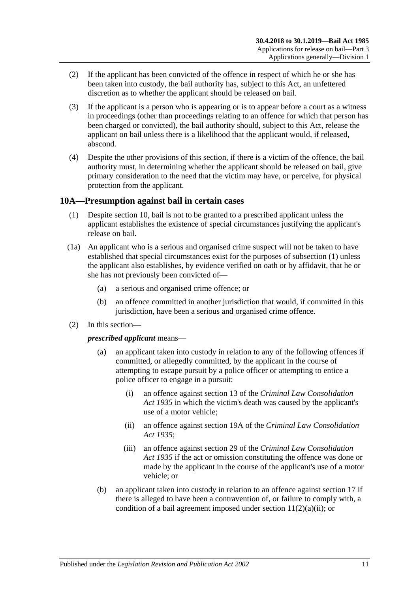- (2) If the applicant has been convicted of the offence in respect of which he or she has been taken into custody, the bail authority has, subject to this Act, an unfettered discretion as to whether the applicant should be released on bail.
- (3) If the applicant is a person who is appearing or is to appear before a court as a witness in proceedings (other than proceedings relating to an offence for which that person has been charged or convicted), the bail authority should, subject to this Act, release the applicant on bail unless there is a likelihood that the applicant would, if released, abscond.
- (4) Despite the other provisions of this section, if there is a victim of the offence, the bail authority must, in determining whether the applicant should be released on bail, give primary consideration to the need that the victim may have, or perceive, for physical protection from the applicant.

## <span id="page-10-1"></span><span id="page-10-0"></span>**10A—Presumption against bail in certain cases**

- (1) Despite [section](#page-9-1) 10, bail is not to be granted to a prescribed applicant unless the applicant establishes the existence of special circumstances justifying the applicant's release on bail.
- (1a) An applicant who is a serious and organised crime suspect will not be taken to have established that special circumstances exist for the purposes of [subsection](#page-10-1) (1) unless the applicant also establishes, by evidence verified on oath or by affidavit, that he or she has not previously been convicted of—
	- (a) a serious and organised crime offence; or
	- (b) an offence committed in another jurisdiction that would, if committed in this jurisdiction, have been a serious and organised crime offence.
- (2) In this section—

*prescribed applicant* means—

- (a) an applicant taken into custody in relation to any of the following offences if committed, or allegedly committed, by the applicant in the course of attempting to escape pursuit by a police officer or attempting to entice a police officer to engage in a pursuit:
	- (i) an offence against section 13 of the *[Criminal Law Consolidation](http://www.legislation.sa.gov.au/index.aspx?action=legref&type=act&legtitle=Criminal%20Law%20Consolidation%20Act%201935)  Act [1935](http://www.legislation.sa.gov.au/index.aspx?action=legref&type=act&legtitle=Criminal%20Law%20Consolidation%20Act%201935)* in which the victim's death was caused by the applicant's use of a motor vehicle;
	- (ii) an offence against section 19A of the *[Criminal Law Consolidation](http://www.legislation.sa.gov.au/index.aspx?action=legref&type=act&legtitle=Criminal%20Law%20Consolidation%20Act%201935)  Act [1935](http://www.legislation.sa.gov.au/index.aspx?action=legref&type=act&legtitle=Criminal%20Law%20Consolidation%20Act%201935)*;
	- (iii) an offence against section 29 of the *[Criminal Law Consolidation](http://www.legislation.sa.gov.au/index.aspx?action=legref&type=act&legtitle=Criminal%20Law%20Consolidation%20Act%201935)  Act [1935](http://www.legislation.sa.gov.au/index.aspx?action=legref&type=act&legtitle=Criminal%20Law%20Consolidation%20Act%201935)* if the act or omission constituting the offence was done or made by the applicant in the course of the applicant's use of a motor vehicle; or
- (b) an applicant taken into custody in relation to an offence against [section](#page-20-1) 17 if there is alleged to have been a contravention of, or failure to comply with, a condition of a bail agreement imposed under section  $11(2)(a)(ii)$ ; or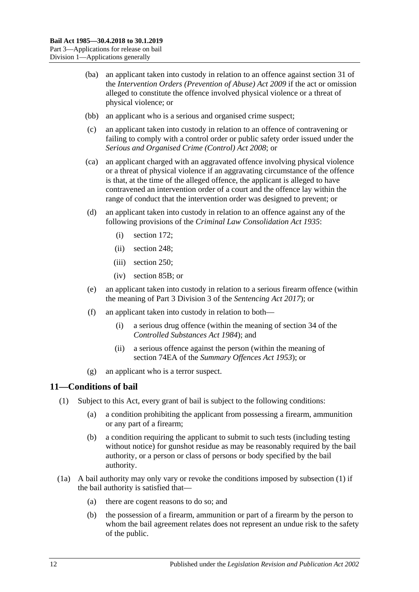- (ba) an applicant taken into custody in relation to an offence against section 31 of the *[Intervention Orders \(Prevention of Abuse\) Act](http://www.legislation.sa.gov.au/index.aspx?action=legref&type=act&legtitle=Intervention%20Orders%20(Prevention%20of%20Abuse)%20Act%202009) 2009* if the act or omission alleged to constitute the offence involved physical violence or a threat of physical violence; or
- (bb) an applicant who is a serious and organised crime suspect;
- (c) an applicant taken into custody in relation to an offence of contravening or failing to comply with a control order or public safety order issued under the *[Serious and Organised Crime \(Control\) Act](http://www.legislation.sa.gov.au/index.aspx?action=legref&type=act&legtitle=Serious%20and%20Organised%20Crime%20(Control)%20Act%202008) 2008*; or
- (ca) an applicant charged with an aggravated offence involving physical violence or a threat of physical violence if an aggravating circumstance of the offence is that, at the time of the alleged offence, the applicant is alleged to have contravened an intervention order of a court and the offence lay within the range of conduct that the intervention order was designed to prevent; or
- (d) an applicant taken into custody in relation to an offence against any of the following provisions of the *[Criminal Law Consolidation Act](http://www.legislation.sa.gov.au/index.aspx?action=legref&type=act&legtitle=Criminal%20Law%20Consolidation%20Act%201935) 1935*:
	- (i) section 172;
	- (ii) section 248;
	- (iii) section 250;
	- (iv) section 85B; or
- (e) an applicant taken into custody in relation to a serious firearm offence (within the meaning of Part 3 Division 3 of the *[Sentencing Act](http://www.legislation.sa.gov.au/index.aspx?action=legref&type=act&legtitle=Sentencing%20Act%202017) 2017*); or
- (f) an applicant taken into custody in relation to both—
	- (i) a serious drug offence (within the meaning of section 34 of the *[Controlled Substances Act](http://www.legislation.sa.gov.au/index.aspx?action=legref&type=act&legtitle=Controlled%20Substances%20Act%201984) 1984*); and
	- (ii) a serious offence against the person (within the meaning of section 74EA of the *[Summary Offences Act](http://www.legislation.sa.gov.au/index.aspx?action=legref&type=act&legtitle=Summary%20Offences%20Act%201953) 1953*); or
- (g) an applicant who is a terror suspect.

## <span id="page-11-1"></span><span id="page-11-0"></span>**11—Conditions of bail**

- <span id="page-11-3"></span>(1) Subject to this Act, every grant of bail is subject to the following conditions:
	- (a) a condition prohibiting the applicant from possessing a firearm, ammunition or any part of a firearm;
	- (b) a condition requiring the applicant to submit to such tests (including testing without notice) for gunshot residue as may be reasonably required by the bail authority, or a person or class of persons or body specified by the bail authority.
- <span id="page-11-2"></span>(1a) A bail authority may only vary or revoke the conditions imposed by [subsection](#page-11-1) (1) if the bail authority is satisfied that—
	- (a) there are cogent reasons to do so; and
	- (b) the possession of a firearm, ammunition or part of a firearm by the person to whom the bail agreement relates does not represent an undue risk to the safety of the public.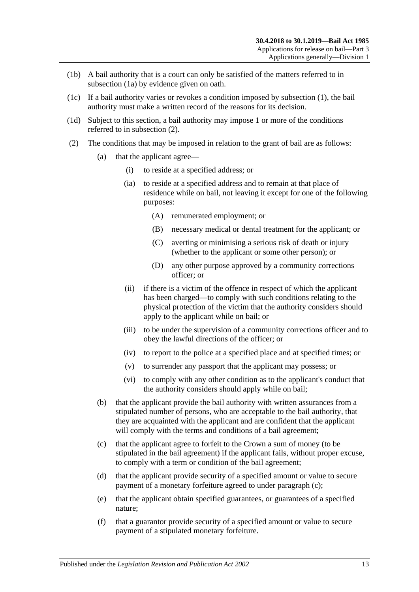- (1b) A bail authority that is a court can only be satisfied of the matters referred to in [subsection](#page-11-2) (1a) by evidence given on oath.
- (1c) If a bail authority varies or revokes a condition imposed by [subsection](#page-11-1) (1), the bail authority must make a written record of the reasons for its decision.
- (1d) Subject to this section, a bail authority may impose 1 or more of the conditions referred to in [subsection](#page-12-1) (2).
- <span id="page-12-4"></span><span id="page-12-3"></span><span id="page-12-2"></span><span id="page-12-1"></span><span id="page-12-0"></span>(2) The conditions that may be imposed in relation to the grant of bail are as follows:
	- (a) that the applicant agree—
		- (i) to reside at a specified address; or
		- (ia) to reside at a specified address and to remain at that place of residence while on bail, not leaving it except for one of the following purposes:
			- (A) remunerated employment; or
			- (B) necessary medical or dental treatment for the applicant; or
			- (C) averting or minimising a serious risk of death or injury (whether to the applicant or some other person); or
			- (D) any other purpose approved by a community corrections officer; or
		- (ii) if there is a victim of the offence in respect of which the applicant has been charged—to comply with such conditions relating to the physical protection of the victim that the authority considers should apply to the applicant while on bail; or
		- (iii) to be under the supervision of a community corrections officer and to obey the lawful directions of the officer; or
		- (iv) to report to the police at a specified place and at specified times; or
		- (v) to surrender any passport that the applicant may possess; or
		- (vi) to comply with any other condition as to the applicant's conduct that the authority considers should apply while on bail;
	- (b) that the applicant provide the bail authority with written assurances from a stipulated number of persons, who are acceptable to the bail authority, that they are acquainted with the applicant and are confident that the applicant will comply with the terms and conditions of a bail agreement;
	- (c) that the applicant agree to forfeit to the Crown a sum of money (to be stipulated in the bail agreement) if the applicant fails, without proper excuse, to comply with a term or condition of the bail agreement;
	- (d) that the applicant provide security of a specified amount or value to secure payment of a monetary forfeiture agreed to under [paragraph](#page-12-2) (c);
	- (e) that the applicant obtain specified guarantees, or guarantees of a specified nature;
	- (f) that a guarantor provide security of a specified amount or value to secure payment of a stipulated monetary forfeiture.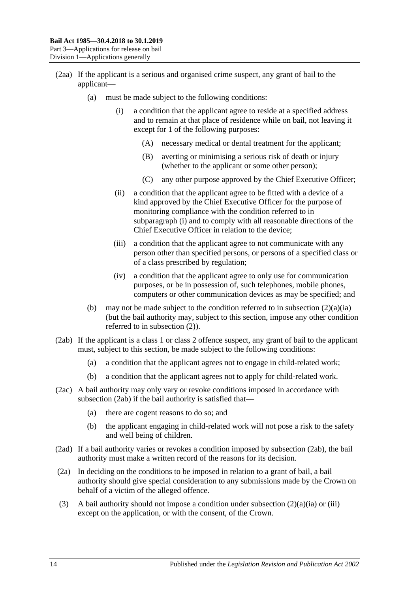- <span id="page-13-0"></span>(2aa) If the applicant is a serious and organised crime suspect, any grant of bail to the applicant—
	- (a) must be made subject to the following conditions:
		- (i) a condition that the applicant agree to reside at a specified address and to remain at that place of residence while on bail, not leaving it except for 1 of the following purposes:
			- (A) necessary medical or dental treatment for the applicant;
			- (B) averting or minimising a serious risk of death or injury (whether to the applicant or some other person);
			- (C) any other purpose approved by the Chief Executive Officer;
		- (ii) a condition that the applicant agree to be fitted with a device of a kind approved by the Chief Executive Officer for the purpose of monitoring compliance with the condition referred to in [subparagraph](#page-13-0) (i) and to comply with all reasonable directions of the Chief Executive Officer in relation to the device;
		- (iii) a condition that the applicant agree to not communicate with any person other than specified persons, or persons of a specified class or of a class prescribed by regulation;
		- (iv) a condition that the applicant agree to only use for communication purposes, or be in possession of, such telephones, mobile phones, computers or other communication devices as may be specified; and
	- (b) may not be made subject to the condition referred to in [subsection](#page-12-3)  $(2)(a)(ia)$ (but the bail authority may, subject to this section, impose any other condition referred to in [subsection](#page-12-1) (2)).
- <span id="page-13-1"></span>(2ab) If the applicant is a class 1 or class 2 offence suspect, any grant of bail to the applicant must, subject to this section, be made subject to the following conditions:
	- (a) a condition that the applicant agrees not to engage in child-related work;
	- (b) a condition that the applicant agrees not to apply for child-related work.
- (2ac) A bail authority may only vary or revoke conditions imposed in accordance with [subsection](#page-13-1) (2ab) if the bail authority is satisfied that—
	- (a) there are cogent reasons to do so; and
	- (b) the applicant engaging in child-related work will not pose a risk to the safety and well being of children.
- (2ad) If a bail authority varies or revokes a condition imposed by [subsection](#page-13-1) (2ab), the bail authority must make a written record of the reasons for its decision.
- (2a) In deciding on the conditions to be imposed in relation to a grant of bail, a bail authority should give special consideration to any submissions made by the Crown on behalf of a victim of the alleged offence.
- (3) A bail authority should not impose a condition under [subsection](#page-12-3)  $(2)(a)(ia)$  or [\(iii\)](#page-12-4) except on the application, or with the consent, of the Crown.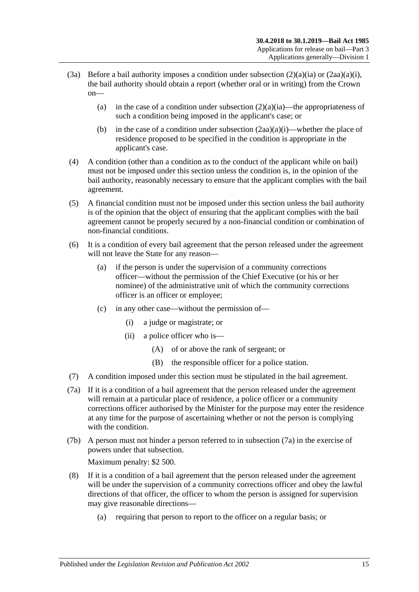- (3a) Before a bail authority imposes a condition under [subsection](#page-12-3)  $(2)(a)(ia)$  or  $(2aa)(a)(i)$ , the bail authority should obtain a report (whether oral or in writing) from the Crown on
	- (a) in the case of a condition under [subsection](#page-12-3)  $(2)(a)(ia)$ —the appropriateness of such a condition being imposed in the applicant's case; or
	- (b) in the case of a condition under [subsection](#page-13-0)  $(2aa)(a)(i)$ —whether the place of residence proposed to be specified in the condition is appropriate in the applicant's case.
- (4) A condition (other than a condition as to the conduct of the applicant while on bail) must not be imposed under this section unless the condition is, in the opinion of the bail authority, reasonably necessary to ensure that the applicant complies with the bail agreement.
- (5) A financial condition must not be imposed under this section unless the bail authority is of the opinion that the object of ensuring that the applicant complies with the bail agreement cannot be properly secured by a non-financial condition or combination of non-financial conditions.
- (6) It is a condition of every bail agreement that the person released under the agreement will not leave the State for any reason—
	- (a) if the person is under the supervision of a community corrections officer—without the permission of the Chief Executive (or his or her nominee) of the administrative unit of which the community corrections officer is an officer or employee;
	- (c) in any other case—without the permission of—
		- (i) a judge or magistrate; or
		- (ii) a police officer who is—
			- (A) of or above the rank of sergeant; or
			- (B) the responsible officer for a police station.
- (7) A condition imposed under this section must be stipulated in the bail agreement.
- <span id="page-14-0"></span>(7a) If it is a condition of a bail agreement that the person released under the agreement will remain at a particular place of residence, a police officer or a community corrections officer authorised by the Minister for the purpose may enter the residence at any time for the purpose of ascertaining whether or not the person is complying with the condition.
- (7b) A person must not hinder a person referred to in [subsection](#page-14-0) (7a) in the exercise of powers under that subsection.

Maximum penalty: \$2 500.

- (8) If it is a condition of a bail agreement that the person released under the agreement will be under the supervision of a community corrections officer and obey the lawful directions of that officer, the officer to whom the person is assigned for supervision may give reasonable directions—
	- (a) requiring that person to report to the officer on a regular basis; or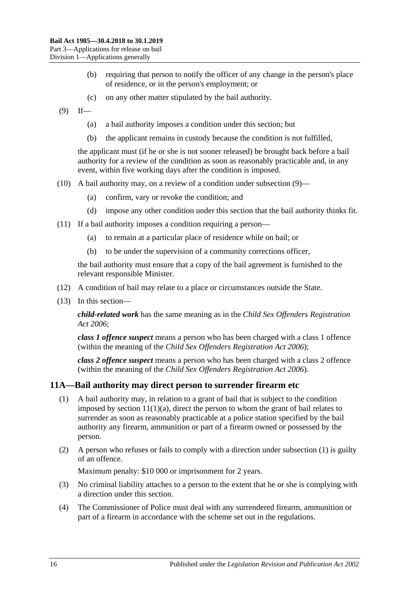- (b) requiring that person to notify the officer of any change in the person's place of residence, or in the person's employment; or
- (c) on any other matter stipulated by the bail authority.
- <span id="page-15-1"></span> $(9)$  If—
	- (a) a bail authority imposes a condition under this section; but
	- (b) the applicant remains in custody because the condition is not fulfilled,

the applicant must (if he or she is not sooner released) be brought back before a bail authority for a review of the condition as soon as reasonably practicable and, in any event, within five working days after the condition is imposed.

- (10) A bail authority may, on a review of a condition under [subsection](#page-15-1) (9)—
	- (a) confirm, vary or revoke the condition; and
	- (d) impose any other condition under this section that the bail authority thinks fit.
- (11) If a bail authority imposes a condition requiring a person—
	- (a) to remain at a particular place of residence while on bail; or
	- (b) to be under the supervision of a community corrections officer,

the bail authority must ensure that a copy of the bail agreement is furnished to the relevant responsible Minister.

- (12) A condition of bail may relate to a place or circumstances outside the State.
- (13) In this section—

*child-related work* has the same meaning as in the *[Child Sex Offenders Registration](http://www.legislation.sa.gov.au/index.aspx?action=legref&type=act&legtitle=Child%20Sex%20Offenders%20Registration%20Act%202006)  Act [2006](http://www.legislation.sa.gov.au/index.aspx?action=legref&type=act&legtitle=Child%20Sex%20Offenders%20Registration%20Act%202006)*;

*class 1 offence suspect* means a person who has been charged with a class 1 offence (within the meaning of the *[Child Sex Offenders Registration Act](http://www.legislation.sa.gov.au/index.aspx?action=legref&type=act&legtitle=Child%20Sex%20Offenders%20Registration%20Act%202006) 2006*);

*class 2 offence suspect* means a person who has been charged with a class 2 offence (within the meaning of the *[Child Sex Offenders Registration Act](http://www.legislation.sa.gov.au/index.aspx?action=legref&type=act&legtitle=Child%20Sex%20Offenders%20Registration%20Act%202006) 2006*).

#### <span id="page-15-2"></span><span id="page-15-0"></span>**11A—Bail authority may direct person to surrender firearm etc**

- (1) A bail authority may, in relation to a grant of bail that is subject to the condition imposed by section  $11(1)(a)$ , direct the person to whom the grant of bail relates to surrender as soon as reasonably practicable at a police station specified by the bail authority any firearm, ammunition or part of a firearm owned or possessed by the person.
- (2) A person who refuses or fails to comply with a direction under [subsection](#page-15-2) (1) is guilty of an offence.

Maximum penalty: \$10 000 or imprisonment for 2 years.

- (3) No criminal liability attaches to a person to the extent that he or she is complying with a direction under this section.
- (4) The Commissioner of Police must deal with any surrendered firearm, ammunition or part of a firearm in accordance with the scheme set out in the regulations.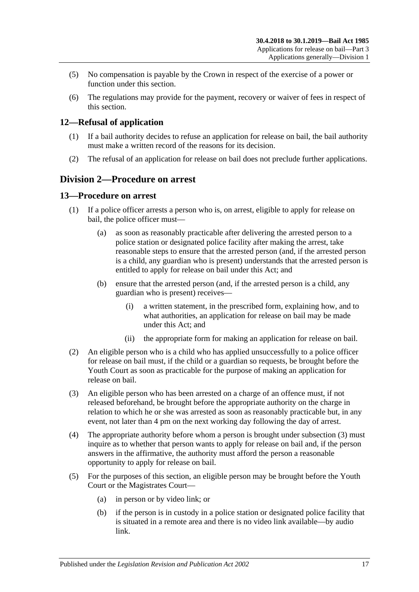- (5) No compensation is payable by the Crown in respect of the exercise of a power or function under this section.
- (6) The regulations may provide for the payment, recovery or waiver of fees in respect of this section.

## <span id="page-16-0"></span>**12—Refusal of application**

- (1) If a bail authority decides to refuse an application for release on bail, the bail authority must make a written record of the reasons for its decision.
- (2) The refusal of an application for release on bail does not preclude further applications.

## <span id="page-16-1"></span>**Division 2—Procedure on arrest**

#### <span id="page-16-2"></span>**13—Procedure on arrest**

- (1) If a police officer arrests a person who is, on arrest, eligible to apply for release on bail, the police officer must—
	- (a) as soon as reasonably practicable after delivering the arrested person to a police station or designated police facility after making the arrest, take reasonable steps to ensure that the arrested person (and, if the arrested person is a child, any guardian who is present) understands that the arrested person is entitled to apply for release on bail under this Act; and
	- (b) ensure that the arrested person (and, if the arrested person is a child, any guardian who is present) receives—
		- (i) a written statement, in the prescribed form, explaining how, and to what authorities, an application for release on bail may be made under this Act; and
		- (ii) the appropriate form for making an application for release on bail.
- (2) An eligible person who is a child who has applied unsuccessfully to a police officer for release on bail must, if the child or a guardian so requests, be brought before the Youth Court as soon as practicable for the purpose of making an application for release on bail.
- <span id="page-16-3"></span>(3) An eligible person who has been arrested on a charge of an offence must, if not released beforehand, be brought before the appropriate authority on the charge in relation to which he or she was arrested as soon as reasonably practicable but, in any event, not later than 4 pm on the next working day following the day of arrest.
- (4) The appropriate authority before whom a person is brought under [subsection](#page-16-3) (3) must inquire as to whether that person wants to apply for release on bail and, if the person answers in the affirmative, the authority must afford the person a reasonable opportunity to apply for release on bail.
- (5) For the purposes of this section, an eligible person may be brought before the Youth Court or the Magistrates Court—
	- (a) in person or by video link; or
	- (b) if the person is in custody in a police station or designated police facility that is situated in a remote area and there is no video link available—by audio link.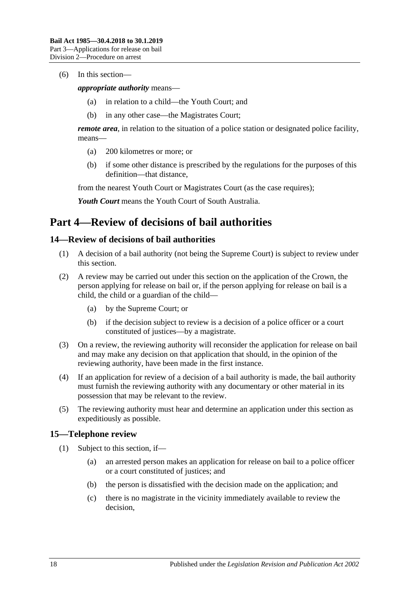#### (6) In this section—

*appropriate authority* means—

- (a) in relation to a child—the Youth Court; and
- (b) in any other case—the Magistrates Court;

*remote area*, in relation to the situation of a police station or designated police facility, means—

- (a) 200 kilometres or more; or
- (b) if some other distance is prescribed by the regulations for the purposes of this definition—that distance,

from the nearest Youth Court or Magistrates Court (as the case requires);

*Youth Court* means the Youth Court of South Australia.

## <span id="page-17-0"></span>**Part 4—Review of decisions of bail authorities**

#### <span id="page-17-1"></span>**14—Review of decisions of bail authorities**

- (1) A decision of a bail authority (not being the Supreme Court) is subject to review under this section.
- (2) A review may be carried out under this section on the application of the Crown, the person applying for release on bail or, if the person applying for release on bail is a child, the child or a guardian of the child—
	- (a) by the Supreme Court; or
	- (b) if the decision subject to review is a decision of a police officer or a court constituted of justices—by a magistrate.
- (3) On a review, the reviewing authority will reconsider the application for release on bail and may make any decision on that application that should, in the opinion of the reviewing authority, have been made in the first instance.
- (4) If an application for review of a decision of a bail authority is made, the bail authority must furnish the reviewing authority with any documentary or other material in its possession that may be relevant to the review.
- (5) The reviewing authority must hear and determine an application under this section as expeditiously as possible.

#### <span id="page-17-3"></span><span id="page-17-2"></span>**15—Telephone review**

- (1) Subject to this section, if—
	- (a) an arrested person makes an application for release on bail to a police officer or a court constituted of justices; and
	- (b) the person is dissatisfied with the decision made on the application; and
	- (c) there is no magistrate in the vicinity immediately available to review the decision,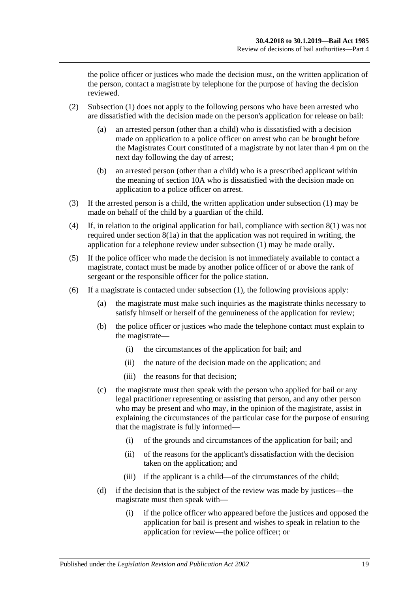the police officer or justices who made the decision must, on the written application of the person, contact a magistrate by telephone for the purpose of having the decision reviewed.

- (2) [Subsection](#page-17-3) (1) does not apply to the following persons who have been arrested who are dissatisfied with the decision made on the person's application for release on bail:
	- (a) an arrested person (other than a child) who is dissatisfied with a decision made on application to a police officer on arrest who can be brought before the Magistrates Court constituted of a magistrate by not later than 4 pm on the next day following the day of arrest;
	- (b) an arrested person (other than a child) who is a prescribed applicant within the meaning of [section](#page-10-0) 10A who is dissatisfied with the decision made on application to a police officer on arrest.
- (3) If the arrested person is a child, the written application under [subsection](#page-17-3) (1) may be made on behalf of the child by a guardian of the child.
- (4) If, in relation to the original application for bail, compliance with [section](#page-8-4) 8(1) was not required under [section](#page-8-3) 8(1a) in that the application was not required in writing, the application for a telephone review under [subsection](#page-17-3) (1) may be made orally.
- (5) If the police officer who made the decision is not immediately available to contact a magistrate, contact must be made by another police officer of or above the rank of sergeant or the responsible officer for the police station.
- (6) If a magistrate is contacted under [subsection](#page-17-3) (1), the following provisions apply:
	- (a) the magistrate must make such inquiries as the magistrate thinks necessary to satisfy himself or herself of the genuineness of the application for review;
	- (b) the police officer or justices who made the telephone contact must explain to the magistrate—
		- (i) the circumstances of the application for bail; and
		- (ii) the nature of the decision made on the application; and
		- (iii) the reasons for that decision;
	- (c) the magistrate must then speak with the person who applied for bail or any legal practitioner representing or assisting that person, and any other person who may be present and who may, in the opinion of the magistrate, assist in explaining the circumstances of the particular case for the purpose of ensuring that the magistrate is fully informed—
		- (i) of the grounds and circumstances of the application for bail; and
		- (ii) of the reasons for the applicant's dissatisfaction with the decision taken on the application; and
		- (iii) if the applicant is a child—of the circumstances of the child;
	- (d) if the decision that is the subject of the review was made by justices—the magistrate must then speak with—
		- (i) if the police officer who appeared before the justices and opposed the application for bail is present and wishes to speak in relation to the application for review—the police officer; or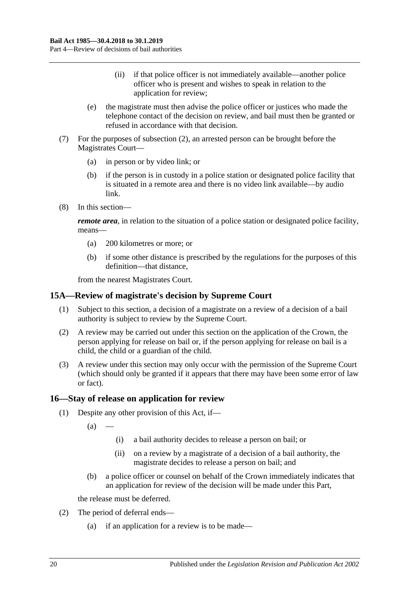- (ii) if that police officer is not immediately available—another police officer who is present and wishes to speak in relation to the application for review;
- (e) the magistrate must then advise the police officer or justices who made the telephone contact of the decision on review, and bail must then be granted or refused in accordance with that decision.
- (7) For the purposes of subsection (2), an arrested person can be brought before the Magistrates Court—
	- (a) in person or by video link; or
	- (b) if the person is in custody in a police station or designated police facility that is situated in a remote area and there is no video link available—by audio link.
- (8) In this section—

*remote area*, in relation to the situation of a police station or designated police facility, means—

- (a) 200 kilometres or more; or
- (b) if some other distance is prescribed by the regulations for the purposes of this definition—that distance,

from the nearest Magistrates Court.

#### <span id="page-19-0"></span>**15A—Review of magistrate's decision by Supreme Court**

- (1) Subject to this section, a decision of a magistrate on a review of a decision of a bail authority is subject to review by the Supreme Court.
- (2) A review may be carried out under this section on the application of the Crown, the person applying for release on bail or, if the person applying for release on bail is a child, the child or a guardian of the child.
- (3) A review under this section may only occur with the permission of the Supreme Court (which should only be granted if it appears that there may have been some error of law or fact).

#### <span id="page-19-1"></span>**16—Stay of release on application for review**

- (1) Despite any other provision of this Act, if—
	- $(a)$ 
		- (i) a bail authority decides to release a person on bail; or
		- (ii) on a review by a magistrate of a decision of a bail authority, the magistrate decides to release a person on bail; and
	- (b) a police officer or counsel on behalf of the Crown immediately indicates that an application for review of the decision will be made under this Part,

the release must be deferred.

- <span id="page-19-2"></span>(2) The period of deferral ends—
	- (a) if an application for a review is to be made—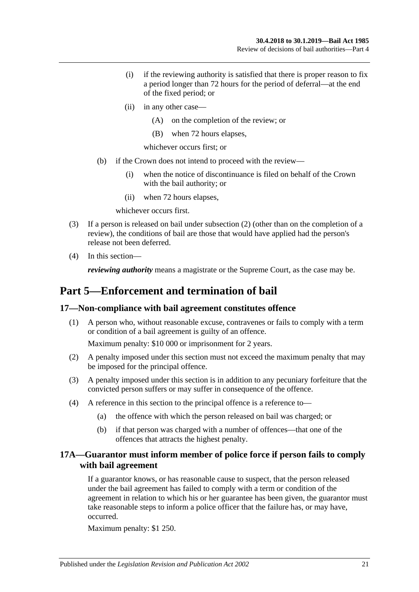- (i) if the reviewing authority is satisfied that there is proper reason to fix a period longer than 72 hours for the period of deferral—at the end of the fixed period; or
- (ii) in any other case—
	- (A) on the completion of the review; or
	- (B) when 72 hours elapses,
	- whichever occurs first; or
- (b) if the Crown does not intend to proceed with the review—
	- (i) when the notice of discontinuance is filed on behalf of the Crown with the bail authority; or
	- (ii) when 72 hours elapses,

whichever occurs first.

- (3) If a person is released on bail under [subsection](#page-19-2) (2) (other than on the completion of a review), the conditions of bail are those that would have applied had the person's release not been deferred.
- (4) In this section—

*reviewing authority* means a magistrate or the Supreme Court, as the case may be.

## <span id="page-20-0"></span>**Part 5—Enforcement and termination of bail**

#### <span id="page-20-1"></span>**17—Non-compliance with bail agreement constitutes offence**

(1) A person who, without reasonable excuse, contravenes or fails to comply with a term or condition of a bail agreement is guilty of an offence.

Maximum penalty: \$10 000 or imprisonment for 2 years.

- (2) A penalty imposed under this section must not exceed the maximum penalty that may be imposed for the principal offence.
- (3) A penalty imposed under this section is in addition to any pecuniary forfeiture that the convicted person suffers or may suffer in consequence of the offence.
- (4) A reference in this section to the principal offence is a reference to—
	- (a) the offence with which the person released on bail was charged; or
	- (b) if that person was charged with a number of offences—that one of the offences that attracts the highest penalty.

## <span id="page-20-2"></span>**17A—Guarantor must inform member of police force if person fails to comply with bail agreement**

If a guarantor knows, or has reasonable cause to suspect, that the person released under the bail agreement has failed to comply with a term or condition of the agreement in relation to which his or her guarantee has been given, the guarantor must take reasonable steps to inform a police officer that the failure has, or may have, occurred.

Maximum penalty: \$1 250.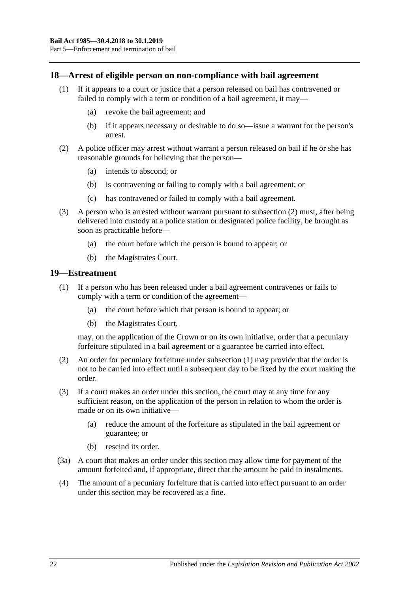#### <span id="page-21-0"></span>**18—Arrest of eligible person on non-compliance with bail agreement**

- (1) If it appears to a court or justice that a person released on bail has contravened or failed to comply with a term or condition of a bail agreement, it may—
	- (a) revoke the bail agreement; and
	- (b) if it appears necessary or desirable to do so—issue a warrant for the person's arrest.
- <span id="page-21-2"></span>(2) A police officer may arrest without warrant a person released on bail if he or she has reasonable grounds for believing that the person—
	- (a) intends to abscond; or
	- (b) is contravening or failing to comply with a bail agreement; or
	- (c) has contravened or failed to comply with a bail agreement.
- (3) A person who is arrested without warrant pursuant to [subsection](#page-21-2) (2) must, after being delivered into custody at a police station or designated police facility, be brought as soon as practicable before—
	- (a) the court before which the person is bound to appear; or
	- (b) the Magistrates Court.

#### <span id="page-21-3"></span><span id="page-21-1"></span>**19—Estreatment**

- (1) If a person who has been released under a bail agreement contravenes or fails to comply with a term or condition of the agreement—
	- (a) the court before which that person is bound to appear; or
	- (b) the Magistrates Court,

may, on the application of the Crown or on its own initiative, order that a pecuniary forfeiture stipulated in a bail agreement or a guarantee be carried into effect.

- (2) An order for pecuniary forfeiture under [subsection](#page-21-3) (1) may provide that the order is not to be carried into effect until a subsequent day to be fixed by the court making the order.
- (3) If a court makes an order under this section, the court may at any time for any sufficient reason, on the application of the person in relation to whom the order is made or on its own initiative—
	- (a) reduce the amount of the forfeiture as stipulated in the bail agreement or guarantee; or
	- (b) rescind its order.
- (3a) A court that makes an order under this section may allow time for payment of the amount forfeited and, if appropriate, direct that the amount be paid in instalments.
- (4) The amount of a pecuniary forfeiture that is carried into effect pursuant to an order under this section may be recovered as a fine.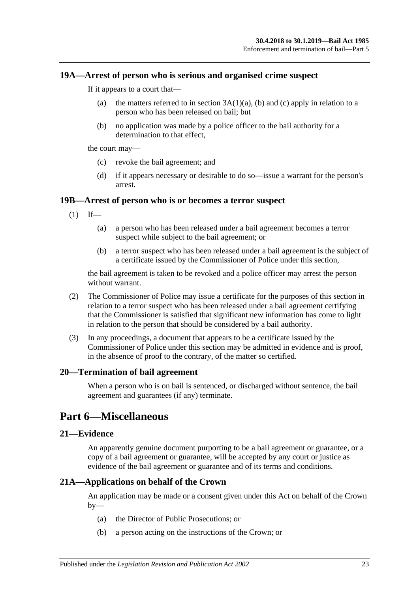#### <span id="page-22-0"></span>**19A—Arrest of person who is serious and organised crime suspect**

If it appears to a court that—

- (a) the matters referred to in section  $3A(1)(a)$ , [\(b\)](#page-3-3) and [\(c\)](#page-3-4) apply in relation to a person who has been released on bail; but
- (b) no application was made by a police officer to the bail authority for a determination to that effect,

the court may—

- (c) revoke the bail agreement; and
- (d) if it appears necessary or desirable to do so—issue a warrant for the person's arrest.

## <span id="page-22-1"></span>**19B—Arrest of person who is or becomes a terror suspect**

- $(1)$  If—
	- (a) a person who has been released under a bail agreement becomes a terror suspect while subject to the bail agreement; or
	- (b) a terror suspect who has been released under a bail agreement is the subject of a certificate issued by the Commissioner of Police under this section,

the bail agreement is taken to be revoked and a police officer may arrest the person without warrant.

- (2) The Commissioner of Police may issue a certificate for the purposes of this section in relation to a terror suspect who has been released under a bail agreement certifying that the Commissioner is satisfied that significant new information has come to light in relation to the person that should be considered by a bail authority.
- (3) In any proceedings, a document that appears to be a certificate issued by the Commissioner of Police under this section may be admitted in evidence and is proof, in the absence of proof to the contrary, of the matter so certified.

#### <span id="page-22-2"></span>**20—Termination of bail agreement**

When a person who is on bail is sentenced, or discharged without sentence, the bail agreement and guarantees (if any) terminate.

## <span id="page-22-3"></span>**Part 6—Miscellaneous**

#### <span id="page-22-4"></span>**21—Evidence**

An apparently genuine document purporting to be a bail agreement or guarantee, or a copy of a bail agreement or guarantee, will be accepted by any court or justice as evidence of the bail agreement or guarantee and of its terms and conditions.

## <span id="page-22-5"></span>**21A—Applications on behalf of the Crown**

An application may be made or a consent given under this Act on behalf of the Crown  $by-$ 

- (a) the Director of Public Prosecutions; or
- (b) a person acting on the instructions of the Crown; or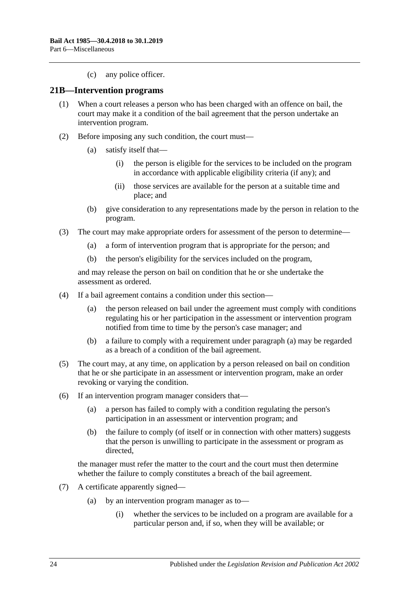(c) any police officer.

#### <span id="page-23-0"></span>**21B—Intervention programs**

- (1) When a court releases a person who has been charged with an offence on bail, the court may make it a condition of the bail agreement that the person undertake an intervention program.
- (2) Before imposing any such condition, the court must—
	- (a) satisfy itself that—
		- (i) the person is eligible for the services to be included on the program in accordance with applicable eligibility criteria (if any); and
		- (ii) those services are available for the person at a suitable time and place; and
	- (b) give consideration to any representations made by the person in relation to the program.
- (3) The court may make appropriate orders for assessment of the person to determine—
	- (a) a form of intervention program that is appropriate for the person; and
	- (b) the person's eligibility for the services included on the program,

and may release the person on bail on condition that he or she undertake the assessment as ordered.

- <span id="page-23-1"></span>(4) If a bail agreement contains a condition under this section—
	- (a) the person released on bail under the agreement must comply with conditions regulating his or her participation in the assessment or intervention program notified from time to time by the person's case manager; and
	- (b) a failure to comply with a requirement under [paragraph](#page-23-1) (a) may be regarded as a breach of a condition of the bail agreement.
- (5) The court may, at any time, on application by a person released on bail on condition that he or she participate in an assessment or intervention program, make an order revoking or varying the condition.
- (6) If an intervention program manager considers that—
	- (a) a person has failed to comply with a condition regulating the person's participation in an assessment or intervention program; and
	- (b) the failure to comply (of itself or in connection with other matters) suggests that the person is unwilling to participate in the assessment or program as directed,

the manager must refer the matter to the court and the court must then determine whether the failure to comply constitutes a breach of the bail agreement.

- (7) A certificate apparently signed—
	- (a) by an intervention program manager as to—
		- (i) whether the services to be included on a program are available for a particular person and, if so, when they will be available; or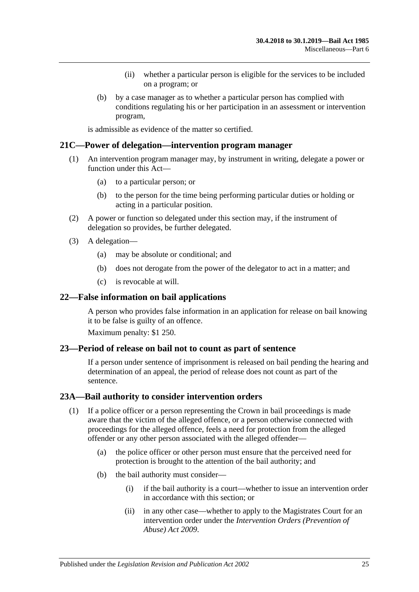- (ii) whether a particular person is eligible for the services to be included on a program; or
- (b) by a case manager as to whether a particular person has complied with conditions regulating his or her participation in an assessment or intervention program,

is admissible as evidence of the matter so certified.

#### <span id="page-24-0"></span>**21C—Power of delegation—intervention program manager**

- (1) An intervention program manager may, by instrument in writing, delegate a power or function under this Act—
	- (a) to a particular person; or
	- (b) to the person for the time being performing particular duties or holding or acting in a particular position.
- (2) A power or function so delegated under this section may, if the instrument of delegation so provides, be further delegated.
- (3) A delegation—
	- (a) may be absolute or conditional; and
	- (b) does not derogate from the power of the delegator to act in a matter; and
	- (c) is revocable at will.

#### <span id="page-24-1"></span>**22—False information on bail applications**

A person who provides false information in an application for release on bail knowing it to be false is guilty of an offence.

Maximum penalty: \$1 250.

#### <span id="page-24-2"></span>**23—Period of release on bail not to count as part of sentence**

If a person under sentence of imprisonment is released on bail pending the hearing and determination of an appeal, the period of release does not count as part of the sentence.

#### <span id="page-24-3"></span>**23A—Bail authority to consider intervention orders**

- (1) If a police officer or a person representing the Crown in bail proceedings is made aware that the victim of the alleged offence, or a person otherwise connected with proceedings for the alleged offence, feels a need for protection from the alleged offender or any other person associated with the alleged offender—
	- (a) the police officer or other person must ensure that the perceived need for protection is brought to the attention of the bail authority; and
	- (b) the bail authority must consider—
		- (i) if the bail authority is a court—whether to issue an intervention order in accordance with this section; or
		- (ii) in any other case—whether to apply to the Magistrates Court for an intervention order under the *[Intervention Orders \(Prevention of](http://www.legislation.sa.gov.au/index.aspx?action=legref&type=act&legtitle=Intervention%20Orders%20(Prevention%20of%20Abuse)%20Act%202009)  [Abuse\) Act](http://www.legislation.sa.gov.au/index.aspx?action=legref&type=act&legtitle=Intervention%20Orders%20(Prevention%20of%20Abuse)%20Act%202009) 2009*.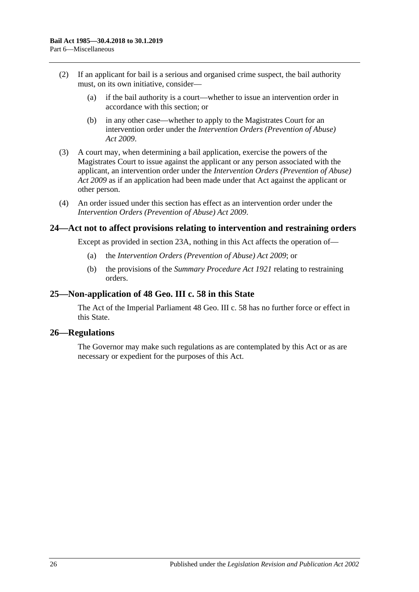- (2) If an applicant for bail is a serious and organised crime suspect, the bail authority must, on its own initiative, consider—
	- (a) if the bail authority is a court—whether to issue an intervention order in accordance with this section; or
	- (b) in any other case—whether to apply to the Magistrates Court for an intervention order under the *[Intervention Orders \(Prevention of Abuse\)](http://www.legislation.sa.gov.au/index.aspx?action=legref&type=act&legtitle=Intervention%20Orders%20(Prevention%20of%20Abuse)%20Act%202009)  Act [2009](http://www.legislation.sa.gov.au/index.aspx?action=legref&type=act&legtitle=Intervention%20Orders%20(Prevention%20of%20Abuse)%20Act%202009)*.
- (3) A court may, when determining a bail application, exercise the powers of the Magistrates Court to issue against the applicant or any person associated with the applicant, an intervention order under the *[Intervention Orders \(Prevention of Abuse\)](http://www.legislation.sa.gov.au/index.aspx?action=legref&type=act&legtitle=Intervention%20Orders%20(Prevention%20of%20Abuse)%20Act%202009)  Act [2009](http://www.legislation.sa.gov.au/index.aspx?action=legref&type=act&legtitle=Intervention%20Orders%20(Prevention%20of%20Abuse)%20Act%202009)* as if an application had been made under that Act against the applicant or other person.
- (4) An order issued under this section has effect as an intervention order under the *[Intervention Orders \(Prevention of Abuse\) Act](http://www.legislation.sa.gov.au/index.aspx?action=legref&type=act&legtitle=Intervention%20Orders%20(Prevention%20of%20Abuse)%20Act%202009) 2009*.

## <span id="page-25-0"></span>**24—Act not to affect provisions relating to intervention and restraining orders**

Except as provided in [section](#page-24-3) 23A, nothing in this Act affects the operation of—

- (a) the *[Intervention Orders \(Prevention of Abuse\) Act](http://www.legislation.sa.gov.au/index.aspx?action=legref&type=act&legtitle=Intervention%20Orders%20(Prevention%20of%20Abuse)%20Act%202009) 2009*; or
- (b) the provisions of the *[Summary Procedure Act](http://www.legislation.sa.gov.au/index.aspx?action=legref&type=act&legtitle=Summary%20Procedure%20Act%201921) 1921* relating to restraining orders.

#### <span id="page-25-1"></span>**25—Non-application of 48 Geo. III c. 58 in this State**

The Act of the Imperial Parliament 48 Geo. III c. 58 has no further force or effect in this State.

#### <span id="page-25-2"></span>**26—Regulations**

The Governor may make such regulations as are contemplated by this Act or as are necessary or expedient for the purposes of this Act.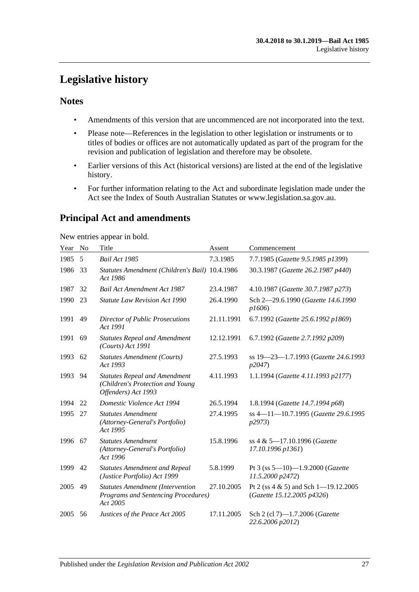## <span id="page-26-0"></span>**Legislative history**

## **Notes**

- Amendments of this version that are uncommenced are not incorporated into the text.
- Please note—References in the legislation to other legislation or instruments or to titles of bodies or offices are not automatically updated as part of the program for the revision and publication of legislation and therefore may be obsolete.
- Earlier versions of this Act (historical versions) are listed at the end of the legislative history.
- For further information relating to the Act and subordinate legislation made under the Act see the Index of South Australian Statutes or www.legislation.sa.gov.au.

## **Principal Act and amendments**

New entries appear in bold.

| Year | N <sub>0</sub> | Title                                                                                           | Assent     | Commencement                                                       |
|------|----------------|-------------------------------------------------------------------------------------------------|------------|--------------------------------------------------------------------|
| 1985 | 5              | Bail Act 1985                                                                                   | 7.3.1985   | 7.7.1985 (Gazette 9.5.1985 p1399)                                  |
| 1986 | 33             | Statutes Amendment (Children's Bail) 10.4.1986<br>Act 1986                                      |            | 30.3.1987 (Gazette 26.2.1987 p440)                                 |
| 1987 | 32             | <b>Bail Act Amendment Act 1987</b>                                                              | 23.4.1987  | 4.10.1987 (Gazette 30.7.1987 p273)                                 |
| 1990 | 23             | <b>Statute Law Revision Act 1990</b>                                                            | 26.4.1990  | Sch 2-29.6.1990 (Gazette 14.6.1990<br>p1606                        |
| 1991 | 49             | <b>Director of Public Prosecutions</b><br>Act 1991                                              | 21.11.1991 | 6.7.1992 (Gazette 25.6.1992 p1869)                                 |
| 1991 | 69             | <b>Statutes Repeal and Amendment</b><br>$(Courts)$ Act 1991                                     | 12.12.1991 | 6.7.1992 (Gazette 2.7.1992 p209)                                   |
| 1993 | 62             | <b>Statutes Amendment (Courts)</b><br>Act 1993                                                  | 27.5.1993  | ss 19-23-1.7.1993 (Gazette 24.6.1993<br>p2047                      |
| 1993 | 94             | <b>Statutes Repeal and Amendment</b><br>(Children's Protection and Young<br>Offenders) Act 1993 | 4.11.1993  | 1.1.1994 (Gazette 4.11.1993 p2177)                                 |
| 1994 | 22             | Domestic Violence Act 1994                                                                      | 26.5.1994  | 1.8.1994 (Gazette 14.7.1994 p68)                                   |
| 1995 | 27             | <b>Statutes Amendment</b><br>(Attorney-General's Portfolio)<br>Act 1995                         | 27.4.1995  | ss 4-11-10.7.1995 (Gazette 29.6.1995<br><i>p</i> 2973)             |
| 1996 | 67             | <b>Statutes Amendment</b><br>(Attorney-General's Portfolio)<br>Act 1996                         | 15.8.1996  | ss 4 & 5-17.10.1996 (Gazette<br>17.10.1996 p1361)                  |
| 1999 | 42             | <b>Statutes Amendment and Repeal</b><br>(Justice Portfolio) Act 1999                            | 5.8.1999   | Pt 3 (ss $5-10$ )-1.9.2000 (Gazette<br>11.5.2000 p2472)            |
| 2005 | 49             | <b>Statutes Amendment (Intervention</b><br>Programs and Sentencing Procedures)<br>Act 2005      | 27.10.2005 | Pt 2 (ss 4 & 5) and Sch 1-19.12.2005<br>(Gazette 15.12.2005 p4326) |
| 2005 | 56             | Justices of the Peace Act 2005                                                                  | 17.11.2005 | Sch 2 (cl 7)-1.7.2006 (Gazette<br>22.6.2006 p2012)                 |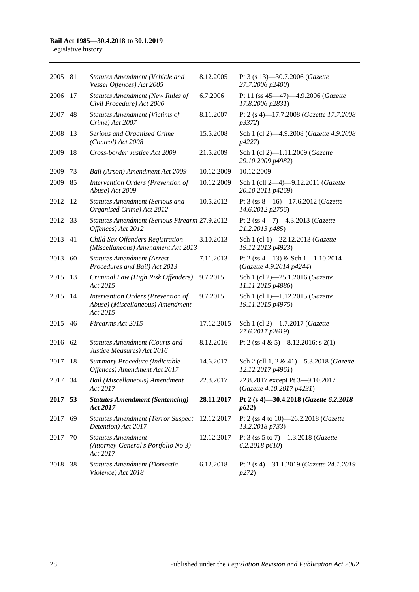#### **Bail Act 1985—30.4.2018 to 30.1.2019**

Legislative history

| 2005 81 |    | Statutes Amendment (Vehicle and<br>Vessel Offences) Act 2005                       | 8.12.2005  | Pt 3 (s 13)-30.7.2006 (Gazette<br>27.7.2006 p2400)           |
|---------|----|------------------------------------------------------------------------------------|------------|--------------------------------------------------------------|
| 2006    | 17 | Statutes Amendment (New Rules of<br>Civil Procedure) Act 2006                      | 6.7.2006   | Pt 11 (ss 45-47)-4.9.2006 (Gazette<br>17.8.2006 p2831)       |
| 2007    | 48 | <b>Statutes Amendment (Victims of</b><br>Crime) Act 2007                           | 8.11.2007  | Pt 2 (s 4)-17.7.2008 (Gazette 17.7.2008)<br>p3372)           |
| 2008    | 13 | Serious and Organised Crime<br>(Control) Act 2008                                  | 15.5.2008  | Sch 1 (cl 2)-4.9.2008 (Gazette 4.9.2008)<br>p4227)           |
| 2009    | 18 | Cross-border Justice Act 2009                                                      | 21.5.2009  | Sch 1 (cl 2)-1.11.2009 (Gazette<br>29.10.2009 p4982)         |
| 2009    | 73 | Bail (Arson) Amendment Act 2009                                                    | 10.12.2009 | 10.12.2009                                                   |
| 2009    | 85 | Intervention Orders (Prevention of<br>Abuse) Act 2009                              | 10.12.2009 | Sch 1 (cll 2-4)-9.12.2011 (Gazette<br>20.10.2011 p4269)      |
| 2012    | 12 | <b>Statutes Amendment (Serious and</b><br>Organised Crime) Act 2012                | 10.5.2012  | Pt 3 (ss 8-16)-17.6.2012 (Gazette<br>14.6.2012 p2756)        |
| 2012    | 33 | Statutes Amendment (Serious Firearm 27.9.2012<br>Offences) Act 2012                |            | Pt 2 (ss 4-7)-4.3.2013 (Gazette<br>21.2.2013 p485)           |
| 2013    | 41 | Child Sex Offenders Registration<br>(Miscellaneous) Amendment Act 2013             | 3.10.2013  | Sch 1 (cl 1)-22.12.2013 (Gazette<br>19.12.2013 p4923)        |
| 2013    | 60 | <b>Statutes Amendment (Arrest</b><br>Procedures and Bail) Act 2013                 | 7.11.2013  | Pt 2 (ss 4-13) & Sch 1-1.10.2014<br>(Gazette 4.9.2014 p4244) |
| 2015    | 13 | Criminal Law (High Risk Offenders)<br>Act 2015                                     | 9.7.2015   | Sch 1 (cl 2)-25.1.2016 (Gazette<br>11.11.2015 p4886)         |
| 2015    | 14 | Intervention Orders (Prevention of<br>Abuse) (Miscellaneous) Amendment<br>Act 2015 | 9.7.2015   | Sch 1 (cl 1)-1.12.2015 (Gazette<br>19.11.2015 p4975)         |
| 2015    | 46 | Firearms Act 2015                                                                  | 17.12.2015 | Sch 1 (cl 2)-1.7.2017 (Gazette<br>27.6.2017 p2619)           |
| 2016 62 |    | <b>Statutes Amendment (Courts and</b><br>Justice Measures) Act 2016                | 8.12.2016  | Pt 2 (ss 4 & 5)—8.12.2016: s 2(1)                            |
| 2017    | 18 | Summary Procedure (Indictable<br>Offences) Amendment Act 2017                      | 14.6.2017  | Sch 2 (cll 1, 2 & 41)-5.3.2018 (Gazette<br>12.12.2017 p4961) |
| 2017    | 34 | Bail (Miscellaneous) Amendment<br>Act 2017                                         | 22.8.2017  | 22.8.2017 except Pt 3-9.10.2017<br>(Gazette 4.10.2017 p4231) |
| 2017 53 |    | <b>Statutes Amendment (Sentencing)</b><br>Act 2017                                 | 28.11.2017 | Pt 2 (s 4)-30.4.2018 (Gazette 6.2.2018<br>p612)              |
| 2017    | 69 | <b>Statutes Amendment (Terror Suspect</b><br>Detention) Act 2017                   | 12.12.2017 | Pt 2 (ss 4 to 10)-26.2.2018 (Gazette<br>13.2.2018 p733)      |
| 2017    | 70 | <b>Statutes Amendment</b><br>(Attorney-General's Portfolio No 3)<br>Act 2017       | 12.12.2017 | Pt 3 (ss 5 to 7)-1.3.2018 (Gazette<br>6.2.2018 p610          |
| 2018 38 |    | <b>Statutes Amendment (Domestic</b><br>Violence) Act 2018                          | 6.12.2018  | Pt 2 (s 4)-31.1.2019 (Gazette 24.1.2019<br>p272)             |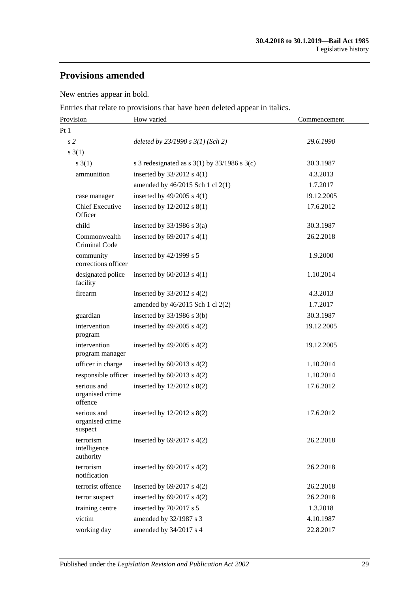## **Provisions amended**

New entries appear in bold.

Entries that relate to provisions that have been deleted appear in italics.

| Provision                                 | How varied                                         | Commencement |  |
|-------------------------------------------|----------------------------------------------------|--------------|--|
| Pt1                                       |                                                    |              |  |
| s <sub>2</sub>                            | deleted by $23/1990 s 3(1)$ (Sch 2)                | 29.6.1990    |  |
| $s \; 3(1)$                               |                                                    |              |  |
| s(3(1))                                   | s 3 redesignated as s $3(1)$ by $33/1986$ s $3(c)$ | 30.3.1987    |  |
| ammunition                                | inserted by $33/2012$ s 4(1)                       | 4.3.2013     |  |
|                                           | amended by 46/2015 Sch 1 cl 2(1)                   | 1.7.2017     |  |
| case manager                              | inserted by $49/2005$ s $4(1)$                     | 19.12.2005   |  |
| <b>Chief Executive</b><br>Officer         | inserted by $12/2012$ s $8(1)$                     | 17.6.2012    |  |
| child                                     | inserted by $33/1986$ s $3(a)$                     | 30.3.1987    |  |
| Commonwealth<br>Criminal Code             | inserted by $69/2017$ s $4(1)$                     | 26.2.2018    |  |
| community<br>corrections officer          | inserted by 42/1999 s 5                            | 1.9.2000     |  |
| designated police<br>facility             | inserted by $60/2013$ s $4(1)$                     | 1.10.2014    |  |
| firearm                                   | inserted by $33/2012$ s 4(2)                       | 4.3.2013     |  |
|                                           | amended by 46/2015 Sch 1 cl 2(2)                   | 1.7.2017     |  |
| guardian                                  | inserted by $33/1986$ s $3(b)$                     | 30.3.1987    |  |
| intervention<br>program                   | inserted by $49/2005$ s $4(2)$                     | 19.12.2005   |  |
| intervention<br>program manager           | inserted by $49/2005$ s $4(2)$                     | 19.12.2005   |  |
| officer in charge                         | inserted by $60/2013$ s $4(2)$                     | 1.10.2014    |  |
| responsible officer                       | inserted by $60/2013$ s $4(2)$                     | 1.10.2014    |  |
| serious and<br>organised crime<br>offence | inserted by $12/2012$ s $8(2)$                     | 17.6.2012    |  |
| serious and<br>organised crime<br>suspect | inserted by $12/2012$ s $8(2)$                     | 17.6.2012    |  |
| terrorism<br>intelligence<br>authority    | inserted by $69/2017$ s $4(2)$                     | 26.2.2018    |  |
| terrorism<br>notification                 | inserted by $69/2017$ s $4(2)$                     | 26.2.2018    |  |
| terrorist offence                         | inserted by $69/2017$ s $4(2)$                     | 26.2.2018    |  |
| terror suspect                            | inserted by $69/2017$ s $4(2)$                     | 26.2.2018    |  |
| training centre                           | inserted by 70/2017 s 5                            | 1.3.2018     |  |
| victim                                    | amended by 32/1987 s 3                             | 4.10.1987    |  |
| working day                               | amended by 34/2017 s 4                             | 22.8.2017    |  |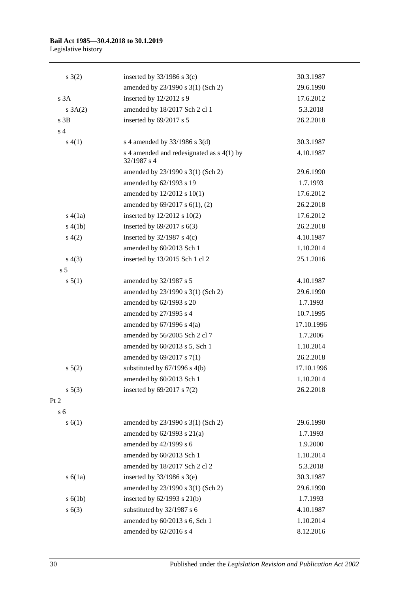## **Bail Act 1985—30.4.2018 to 30.1.2019**

Legislative history

| $s \; 3(2)$    | inserted by $33/1986$ s 3(c)                               | 30.3.1987  |
|----------------|------------------------------------------------------------|------------|
|                | amended by 23/1990 s 3(1) (Sch 2)                          | 29.6.1990  |
| s 3A           | inserted by 12/2012 s 9                                    | 17.6.2012  |
| $s \; 3A(2)$   | amended by 18/2017 Sch 2 cl 1                              | 5.3.2018   |
| $s$ 3B         | inserted by 69/2017 s 5                                    | 26.2.2018  |
| s <sub>4</sub> |                                                            |            |
| s(4(1))        | s 4 amended by $33/1986$ s 3(d)                            | 30.3.1987  |
|                | s 4 amended and redesignated as $s$ 4(1) by<br>32/1987 s 4 | 4.10.1987  |
|                | amended by 23/1990 s 3(1) (Sch 2)                          | 29.6.1990  |
|                | amended by 62/1993 s 19                                    | 1.7.1993   |
|                | amended by 12/2012 s 10(1)                                 | 17.6.2012  |
|                | amended by 69/2017 s 6(1), (2)                             | 26.2.2018  |
| s(4(1a))       | inserted by $12/2012$ s $10(2)$                            | 17.6.2012  |
| s(4(b)         | inserted by $69/2017$ s $6(3)$                             | 26.2.2018  |
| s(4(2)         | inserted by $32/1987$ s 4(c)                               | 4.10.1987  |
|                | amended by 60/2013 Sch 1                                   | 1.10.2014  |
| s(4(3))        | inserted by 13/2015 Sch 1 cl 2                             | 25.1.2016  |
| s <sub>5</sub> |                                                            |            |
| s 5(1)         | amended by 32/1987 s 5                                     | 4.10.1987  |
|                | amended by 23/1990 s 3(1) (Sch 2)                          | 29.6.1990  |
|                | amended by 62/1993 s 20                                    | 1.7.1993   |
|                | amended by 27/1995 s 4                                     | 10.7.1995  |
|                | amended by $67/1996$ s $4(a)$                              | 17.10.1996 |
|                | amended by 56/2005 Sch 2 cl 7                              | 1.7.2006   |
|                | amended by 60/2013 s 5, Sch 1                              | 1.10.2014  |
|                | amended by 69/2017 s 7(1)                                  | 26.2.2018  |
| $s\ 5(2)$      | substituted by $67/1996$ s $4(b)$                          | 17.10.1996 |
|                | amended by 60/2013 Sch 1                                   | 1.10.2014  |
| s 5(3)         | inserted by $69/2017$ s $7(2)$                             | 26.2.2018  |
| Pt 2           |                                                            |            |
| s <sub>6</sub> |                                                            |            |
| s(6(1))        | amended by 23/1990 s 3(1) (Sch 2)                          | 29.6.1990  |
|                | amended by $62/1993$ s $21(a)$                             | 1.7.1993   |
|                | amended by 42/1999 s 6                                     | 1.9.2000   |
|                | amended by 60/2013 Sch 1                                   | 1.10.2014  |
|                | amended by 18/2017 Sch 2 cl 2                              | 5.3.2018   |
| s(6(1a))       | inserted by $33/1986$ s $3(e)$                             | 30.3.1987  |
|                | amended by 23/1990 s 3(1) (Sch 2)                          | 29.6.1990  |
| s(6(1b))       | inserted by 62/1993 s 21(b)                                | 1.7.1993   |
| s(6(3))        | substituted by 32/1987 s 6                                 | 4.10.1987  |
|                | amended by 60/2013 s 6, Sch 1                              | 1.10.2014  |
|                | amended by 62/2016 s 4                                     | 8.12.2016  |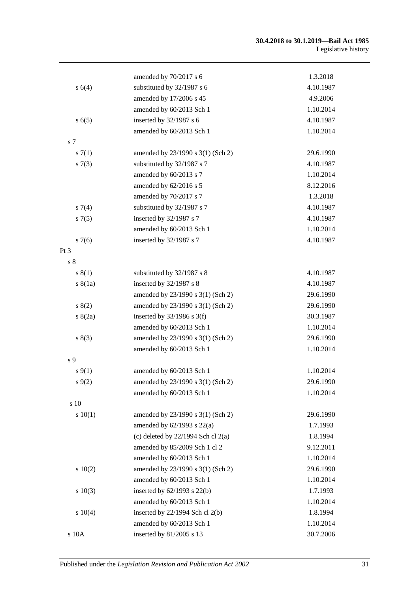#### **30.4.2018 to 30.1.2019—Bail Act 1985** Legislative history

|                 | amended by 70/2017 s 6                 | 1.3.2018  |
|-----------------|----------------------------------------|-----------|
| s 6(4)          | substituted by 32/1987 s 6             | 4.10.1987 |
|                 | amended by 17/2006 s 45                | 4.9.2006  |
|                 | amended by 60/2013 Sch 1               | 1.10.2014 |
| s(6(5)          | inserted by 32/1987 s 6                | 4.10.1987 |
|                 | amended by 60/2013 Sch 1               | 1.10.2014 |
| s 7             |                                        |           |
| s(7(1))         | amended by 23/1990 s 3(1) (Sch 2)      | 29.6.1990 |
| s(7(3))         | substituted by 32/1987 s 7             | 4.10.1987 |
|                 | amended by 60/2013 s 7                 | 1.10.2014 |
|                 | amended by 62/2016 s 5                 | 8.12.2016 |
|                 | amended by 70/2017 s 7                 | 1.3.2018  |
| s7(4)           | substituted by 32/1987 s 7             | 4.10.1987 |
| $s \, 7(5)$     | inserted by 32/1987 s 7                | 4.10.1987 |
|                 | amended by 60/2013 Sch 1               | 1.10.2014 |
| s7(6)           | inserted by 32/1987 s 7                | 4.10.1987 |
| Pt <sub>3</sub> |                                        |           |
| s <sub>8</sub>  |                                        |           |
| s(1)            | substituted by 32/1987 s 8             | 4.10.1987 |
| s(8(1a))        | inserted by 32/1987 s 8                | 4.10.1987 |
|                 | amended by 23/1990 s 3(1) (Sch 2)      | 29.6.1990 |
| s(2)            | amended by 23/1990 s 3(1) (Sch 2)      | 29.6.1990 |
| s(2a)           | inserted by $33/1986$ s 3(f)           | 30.3.1987 |
|                 | amended by 60/2013 Sch 1               | 1.10.2014 |
| s(3)            | amended by 23/1990 s 3(1) (Sch 2)      | 29.6.1990 |
|                 | amended by 60/2013 Sch 1               | 1.10.2014 |
| s <sub>9</sub>  |                                        |           |
| $s \, 9(1)$     | amended by 60/2013 Sch 1               | 1.10.2014 |
| $s \, 9(2)$     | amended by 23/1990 s 3(1) (Sch 2)      | 29.6.1990 |
|                 | amended by 60/2013 Sch 1               | 1.10.2014 |
| s 10            |                                        |           |
| 10(1)           | amended by 23/1990 s 3(1) (Sch 2)      | 29.6.1990 |
|                 | amended by $62/1993$ s $22(a)$         | 1.7.1993  |
|                 | (c) deleted by $22/1994$ Sch cl $2(a)$ | 1.8.1994  |
|                 | amended by 85/2009 Sch 1 cl 2          | 9.12.2011 |
|                 | amended by 60/2013 Sch 1               | 1.10.2014 |
| 10(2)           | amended by 23/1990 s 3(1) (Sch 2)      | 29.6.1990 |
|                 | amended by 60/2013 Sch 1               | 1.10.2014 |
| 10(3)           | inserted by $62/1993$ s $22(b)$        | 1.7.1993  |
|                 | amended by 60/2013 Sch 1               | 1.10.2014 |
| s 10(4)         | inserted by 22/1994 Sch cl 2(b)        | 1.8.1994  |
|                 | amended by 60/2013 Sch 1               | 1.10.2014 |
| s 10A           | inserted by 81/2005 s 13               | 30.7.2006 |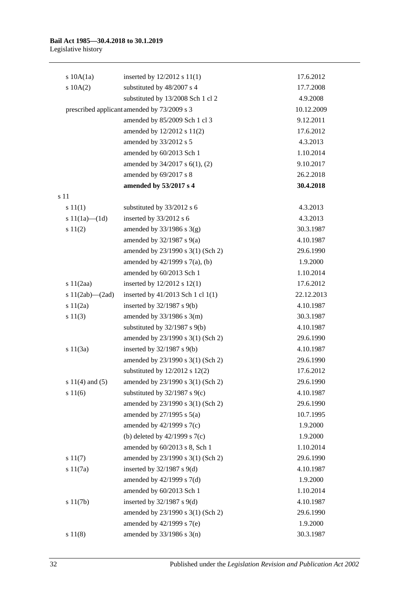| s 10A(1a)             | inserted by $12/2012$ s $11(1)$             | 17.6.2012  |
|-----------------------|---------------------------------------------|------------|
| 10A(2)                | substituted by 48/2007 s 4                  | 17.7.2008  |
|                       | substituted by 13/2008 Sch 1 cl 2           | 4.9.2008   |
|                       | prescribed applicant amended by 73/2009 s 3 | 10.12.2009 |
|                       | amended by 85/2009 Sch 1 cl 3               | 9.12.2011  |
|                       | amended by 12/2012 s 11(2)                  | 17.6.2012  |
|                       | amended by 33/2012 s 5                      | 4.3.2013   |
|                       | amended by 60/2013 Sch 1                    | 1.10.2014  |
|                       | amended by 34/2017 s 6(1), (2)              | 9.10.2017  |
|                       | amended by 69/2017 s 8                      | 26.2.2018  |
|                       | amended by 53/2017 s 4                      | 30.4.2018  |
| s 11                  |                                             |            |
| s 11(1)               | substituted by 33/2012 s 6                  | 4.3.2013   |
| s $11(1a)$ — $(1d)$   | inserted by 33/2012 s 6                     | 4.3.2013   |
| s 11(2)               | amended by $33/1986$ s $3(g)$               | 30.3.1987  |
|                       | amended by $32/1987$ s $9(a)$               | 4.10.1987  |
|                       | amended by 23/1990 s 3(1) (Sch 2)           | 29.6.1990  |
|                       | amended by $42/1999$ s $7(a)$ , (b)         | 1.9.2000   |
|                       | amended by 60/2013 Sch 1                    | 1.10.2014  |
| s $11(2aa)$           | inserted by $12/2012$ s $12(1)$             | 17.6.2012  |
| s $11(2ab)$ — $(2ad)$ | inserted by 41/2013 Sch 1 cl 1(1)           | 22.12.2013 |
| s11(2a)               | inserted by $32/1987$ s $9(b)$              | 4.10.1987  |
| s 11(3)               | amended by $33/1986$ s $3(m)$               | 30.3.1987  |
|                       | substituted by $32/1987$ s $9(b)$           | 4.10.1987  |
|                       | amended by 23/1990 s 3(1) (Sch 2)           | 29.6.1990  |
| s 11(3a)              | inserted by $32/1987$ s $9(b)$              | 4.10.1987  |
|                       | amended by 23/1990 s 3(1) (Sch 2)           | 29.6.1990  |
|                       | substituted by $12/2012$ s $12(2)$          | 17.6.2012  |
| s $11(4)$ and $(5)$   | amended by 23/1990 s 3(1) (Sch 2)           | 29.6.1990  |
| s 11(6)               | substituted by $32/1987$ s $9(c)$           | 4.10.1987  |
|                       | amended by 23/1990 s 3(1) (Sch 2)           | 29.6.1990  |
|                       | amended by $27/1995$ s $5(a)$               | 10.7.1995  |
|                       | amended by $42/1999$ s $7(c)$               | 1.9.2000   |
|                       | (b) deleted by $42/1999$ s $7(c)$           | 1.9.2000   |
|                       | amended by 60/2013 s 8, Sch 1               | 1.10.2014  |
| s 11(7)               | amended by 23/1990 s 3(1) (Sch 2)           | 29.6.1990  |
| s 11(7a)              | inserted by $32/1987$ s $9(d)$              | 4.10.1987  |
|                       | amended by $42/1999$ s $7(d)$               | 1.9.2000   |
|                       | amended by 60/2013 Sch 1                    | 1.10.2014  |
| s 11(7b)              | inserted by $32/1987$ s $9(d)$              | 4.10.1987  |
|                       | amended by 23/1990 s 3(1) (Sch 2)           | 29.6.1990  |
|                       | amended by 42/1999 s 7(e)                   | 1.9.2000   |
| s 11(8)               | amended by 33/1986 s 3(n)                   | 30.3.1987  |

32 Published under the *Legislation Revision and Publication Act 2002*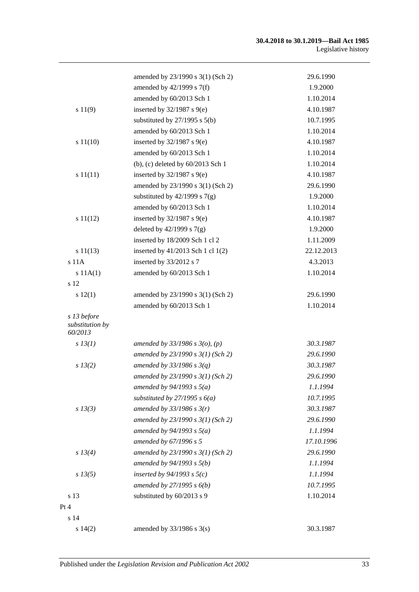#### **30.4.2018 to 30.1.2019—Bail Act 1985** Legislative history

|                                           | amended by 23/1990 s 3(1) (Sch 2)   | 29.6.1990  |
|-------------------------------------------|-------------------------------------|------------|
|                                           | amended by 42/1999 s 7(f)           | 1.9.2000   |
|                                           | amended by 60/2013 Sch 1            | 1.10.2014  |
| s 11(9)                                   | inserted by $32/1987$ s $9(e)$      | 4.10.1987  |
|                                           | substituted by $27/1995$ s $5(b)$   | 10.7.1995  |
|                                           | amended by 60/2013 Sch 1            | 1.10.2014  |
| s 11(10)                                  | inserted by $32/1987$ s $9(e)$      | 4.10.1987  |
|                                           | amended by 60/2013 Sch 1            | 1.10.2014  |
|                                           | (b), (c) deleted by 60/2013 Sch 1   | 1.10.2014  |
| s 11(11)                                  | inserted by $32/1987$ s $9(e)$      | 4.10.1987  |
|                                           | amended by 23/1990 s 3(1) (Sch 2)   | 29.6.1990  |
|                                           | substituted by $42/1999$ s $7(g)$   | 1.9.2000   |
|                                           | amended by 60/2013 Sch 1            | 1.10.2014  |
| s 11(12)                                  | inserted by $32/1987$ s $9(e)$      | 4.10.1987  |
|                                           | deleted by $42/1999$ s $7(g)$       | 1.9.2000   |
|                                           | inserted by 18/2009 Sch 1 cl 2      | 1.11.2009  |
| s 11(13)                                  | inserted by 41/2013 Sch 1 cl 1(2)   | 22.12.2013 |
| $s$ 11 $A$                                | inserted by 33/2012 s 7             | 4.3.2013   |
| s 11A(1)                                  | amended by 60/2013 Sch 1            | 1.10.2014  |
| s 12                                      |                                     |            |
| s 12(1)                                   | amended by 23/1990 s 3(1) (Sch 2)   | 29.6.1990  |
|                                           | amended by 60/2013 Sch 1            | 1.10.2014  |
| s 13 before<br>substitution by<br>60/2013 |                                     |            |
| $s$ 13(1)                                 | amended by $33/1986$ s $3(o)$ , (p) | 30.3.1987  |
|                                           | amended by $23/1990 s 3(1)$ (Sch 2) | 29.6.1990  |
| s 13(2)                                   | amended by $33/1986 s 3(q)$         | 30.3.1987  |
|                                           | amended by $23/1990 s 3(1)$ (Sch 2) | 29.6.1990  |
|                                           | amended by $94/1993 s 5(a)$         | 1.1.1994   |
|                                           | substituted by $27/1995 s 6(a)$     | 10.7.1995  |
| $s$ 13(3)                                 | amended by $33/1986$ s $3(r)$       | 30.3.1987  |
|                                           | amended by $23/1990 s 3(1)$ (Sch 2) | 29.6.1990  |
|                                           | amended by $94/1993$ s $5(a)$       | 1.1.1994   |
|                                           | amended by 67/1996 s 5              | 17.10.1996 |
| $s\,13(4)$                                | amended by $23/1990 s 3(1)$ (Sch 2) | 29.6.1990  |
|                                           | amended by $94/1993 s 5(b)$         | 1.1.1994   |
| $s\,13(5)$                                | inserted by $94/1993$ s $5(c)$      | 1.1.1994   |
|                                           | amended by $27/1995 s 6(b)$         | 10.7.1995  |
| s 13                                      | substituted by 60/2013 s 9          | 1.10.2014  |
| Pt 4                                      |                                     |            |
| s 14                                      |                                     |            |
| s 14(2)                                   | amended by $33/1986$ s $3(s)$       | 30.3.1987  |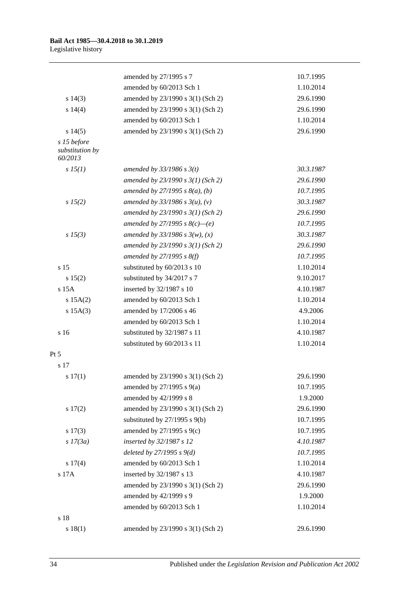|                                           | amended by 27/1995 s 7              | 10.7.1995 |
|-------------------------------------------|-------------------------------------|-----------|
|                                           | amended by 60/2013 Sch 1            | 1.10.2014 |
| s 14(3)                                   | amended by 23/1990 s 3(1) (Sch 2)   | 29.6.1990 |
| s 14(4)                                   | amended by 23/1990 s 3(1) (Sch 2)   | 29.6.1990 |
|                                           | amended by 60/2013 Sch 1            | 1.10.2014 |
| s 14(5)                                   | amended by 23/1990 s 3(1) (Sch 2)   | 29.6.1990 |
| s 15 before<br>substitution by<br>60/2013 |                                     |           |
| s 15(1)                                   | amended by $33/1986$ s $3(t)$       | 30.3.1987 |
|                                           | amended by $23/1990 s 3(1)$ (Sch 2) | 29.6.1990 |
|                                           | amended by 27/1995 s $8(a)$ , (b)   | 10.7.1995 |
| s 15(2)                                   | amended by 33/1986 s $3(u)$ , (v)   | 30.3.1987 |
|                                           | amended by $23/1990 s 3(1)$ (Sch 2) | 29.6.1990 |
|                                           | amended by 27/1995 s $8(c)$ —(e)    | 10.7.1995 |
| $s\,15(3)$                                | amended by $33/1986 s 3(w)$ , (x)   | 30.3.1987 |
|                                           | amended by 23/1990 s 3(1) (Sch 2)   | 29.6.1990 |
|                                           | amended by $27/1995$ s $8(f)$       | 10.7.1995 |
| s <sub>15</sub>                           | substituted by 60/2013 s 10         | 1.10.2014 |
| s 15(2)                                   | substituted by 34/2017 s 7          | 9.10.2017 |
| s 15A                                     | inserted by 32/1987 s 10            | 4.10.1987 |
| s 15A(2)                                  | amended by 60/2013 Sch 1            | 1.10.2014 |
| $s$ 15A $(3)$                             | amended by 17/2006 s 46             | 4.9.2006  |
|                                           | amended by 60/2013 Sch 1            | 1.10.2014 |
| s 16                                      | substituted by 32/1987 s 11         | 4.10.1987 |
|                                           | substituted by 60/2013 s 11         | 1.10.2014 |
| Pt 5                                      |                                     |           |
| s 17                                      |                                     |           |
| s 17(1)                                   | amended by 23/1990 s 3(1) (Sch 2)   | 29.6.1990 |
|                                           | amended by $27/1995$ s $9(a)$       | 10.7.1995 |
|                                           | amended by 42/1999 s 8              | 1.9.2000  |
| s 17(2)                                   | amended by 23/1990 s 3(1) (Sch 2)   | 29.6.1990 |
|                                           | substituted by $27/1995$ s $9(b)$   | 10.7.1995 |
| s 17(3)                                   | amended by 27/1995 s 9(c)           | 10.7.1995 |
| $s$ 17(3a)                                | inserted by 32/1987 s 12            | 4.10.1987 |
|                                           | deleted by $27/1995 s 9(d)$         | 10.7.1995 |
| s 17(4)                                   | amended by 60/2013 Sch 1            | 1.10.2014 |
| s 17A                                     | inserted by 32/1987 s 13            | 4.10.1987 |
|                                           | amended by 23/1990 s 3(1) (Sch 2)   | 29.6.1990 |
|                                           | amended by 42/1999 s 9              | 1.9.2000  |
|                                           | amended by 60/2013 Sch 1            | 1.10.2014 |
| s 18                                      |                                     |           |
| s 18(1)                                   | amended by 23/1990 s 3(1) (Sch 2)   | 29.6.1990 |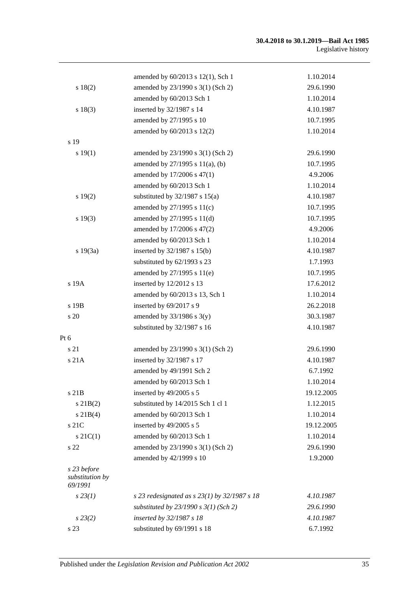|                                           | amended by 60/2013 s 12(1), Sch 1                | 1.10.2014  |
|-------------------------------------------|--------------------------------------------------|------------|
| s 18(2)                                   | amended by 23/1990 s 3(1) (Sch 2)                | 29.6.1990  |
|                                           | amended by 60/2013 Sch 1                         | 1.10.2014  |
| s 18(3)                                   | inserted by 32/1987 s 14                         | 4.10.1987  |
|                                           | amended by 27/1995 s 10                          | 10.7.1995  |
|                                           | amended by 60/2013 s 12(2)                       | 1.10.2014  |
| s 19                                      |                                                  |            |
| s 19(1)                                   | amended by 23/1990 s 3(1) (Sch 2)                | 29.6.1990  |
|                                           | amended by $27/1995$ s $11(a)$ , (b)             | 10.7.1995  |
|                                           | amended by 17/2006 s 47(1)                       | 4.9.2006   |
|                                           | amended by 60/2013 Sch 1                         | 1.10.2014  |
| s 19(2)                                   | substituted by $32/1987$ s $15(a)$               | 4.10.1987  |
|                                           | amended by 27/1995 s 11(c)                       | 10.7.1995  |
| s 19(3)                                   | amended by 27/1995 s 11(d)                       | 10.7.1995  |
|                                           | amended by 17/2006 s 47(2)                       | 4.9.2006   |
|                                           | amended by 60/2013 Sch 1                         | 1.10.2014  |
| s 19(3a)                                  | inserted by $32/1987$ s $15(b)$                  | 4.10.1987  |
|                                           | substituted by 62/1993 s 23                      | 1.7.1993   |
|                                           | amended by 27/1995 s 11(e)                       | 10.7.1995  |
| s 19A                                     | inserted by 12/2012 s 13                         | 17.6.2012  |
|                                           | amended by 60/2013 s 13, Sch 1                   | 1.10.2014  |
| s 19B                                     | inserted by 69/2017 s 9                          | 26.2.2018  |
| s 20                                      | amended by $33/1986$ s $3(y)$                    | 30.3.1987  |
|                                           | substituted by 32/1987 s 16                      | 4.10.1987  |
| Pt 6                                      |                                                  |            |
| s 21                                      | amended by 23/1990 s 3(1) (Sch 2)                | 29.6.1990  |
| s 21A                                     | inserted by 32/1987 s 17                         | 4.10.1987  |
|                                           | amended by 49/1991 Sch 2                         | 6.7.1992   |
|                                           | amended by 60/2013 Sch 1                         | 1.10.2014  |
| s 21B                                     | inserted by 49/2005 s 5                          | 19.12.2005 |
| s 21B(2)                                  | substituted by 14/2015 Sch 1 cl 1                | 1.12.2015  |
| $s \, 21B(4)$                             | amended by 60/2013 Sch 1                         | 1.10.2014  |
| s 21C                                     | inserted by 49/2005 s 5                          | 19.12.2005 |
| $s \, 21C(1)$                             | amended by 60/2013 Sch 1                         | 1.10.2014  |
| s 22                                      | amended by 23/1990 s 3(1) (Sch 2)                | 29.6.1990  |
|                                           | amended by 42/1999 s 10                          | 1.9.2000   |
| s 23 before<br>substitution by<br>69/1991 |                                                  |            |
| $s\,23(1)$                                | s 23 redesignated as s $23(1)$ by $32/1987$ s 18 | 4.10.1987  |
|                                           | substituted by $23/1990$ s $3(1)$ (Sch 2)        | 29.6.1990  |
| $s\,23(2)$                                | inserted by 32/1987 s 18                         | 4.10.1987  |
| s 23                                      | substituted by 69/1991 s 18                      | 6.7.1992   |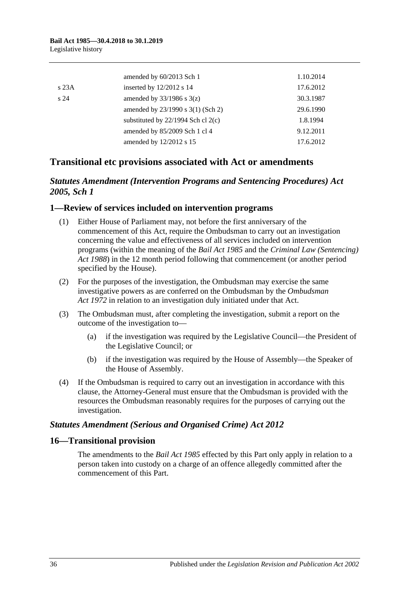|                 | amended by 60/2013 Sch 1               | 1.10.2014 |
|-----------------|----------------------------------------|-----------|
| s23A            | inserted by 12/2012 s 14               | 17.6.2012 |
| s <sub>24</sub> | amended by $33/1986$ s $3(z)$          | 30.3.1987 |
|                 | amended by 23/1990 s 3(1) (Sch 2)      | 29.6.1990 |
|                 | substituted by $22/1994$ Sch cl $2(c)$ | 1.8.1994  |
|                 | amended by 85/2009 Sch 1 cl 4          | 9.12.2011 |
|                 | amended by 12/2012 s 15                | 17.6.2012 |

## **Transitional etc provisions associated with Act or amendments**

## *Statutes Amendment (Intervention Programs and Sentencing Procedures) Act 2005, Sch 1*

#### **1—Review of services included on intervention programs**

- (1) Either House of Parliament may, not before the first anniversary of the commencement of this Act, require the Ombudsman to carry out an investigation concerning the value and effectiveness of all services included on intervention programs (within the meaning of the *[Bail Act](http://www.legislation.sa.gov.au/index.aspx?action=legref&type=act&legtitle=Bail%20Act%201985) 1985* and the *[Criminal Law \(Sentencing\)](http://www.legislation.sa.gov.au/index.aspx?action=legref&type=act&legtitle=Criminal%20Law%20(Sentencing)%20Act%201988)  Act [1988](http://www.legislation.sa.gov.au/index.aspx?action=legref&type=act&legtitle=Criminal%20Law%20(Sentencing)%20Act%201988)*) in the 12 month period following that commencement (or another period specified by the House).
- (2) For the purposes of the investigation, the Ombudsman may exercise the same investigative powers as are conferred on the Ombudsman by the *[Ombudsman](http://www.legislation.sa.gov.au/index.aspx?action=legref&type=act&legtitle=Ombudsman%20Act%201972)  Act [1972](http://www.legislation.sa.gov.au/index.aspx?action=legref&type=act&legtitle=Ombudsman%20Act%201972)* in relation to an investigation duly initiated under that Act.
- (3) The Ombudsman must, after completing the investigation, submit a report on the outcome of the investigation to—
	- (a) if the investigation was required by the Legislative Council—the President of the Legislative Council; or
	- (b) if the investigation was required by the House of Assembly—the Speaker of the House of Assembly.
- (4) If the Ombudsman is required to carry out an investigation in accordance with this clause, the Attorney-General must ensure that the Ombudsman is provided with the resources the Ombudsman reasonably requires for the purposes of carrying out the investigation.

#### *Statutes Amendment (Serious and Organised Crime) Act 2012*

#### **16—Transitional provision**

The amendments to the *[Bail Act](http://www.legislation.sa.gov.au/index.aspx?action=legref&type=act&legtitle=Bail%20Act%201985) 1985* effected by this Part only apply in relation to a person taken into custody on a charge of an offence allegedly committed after the commencement of this Part.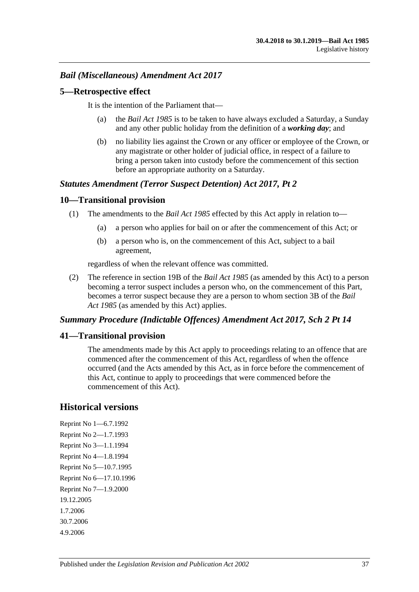## *Bail (Miscellaneous) Amendment Act 2017*

#### **5—Retrospective effect**

It is the intention of the Parliament that—

- (a) the *[Bail Act](http://www.legislation.sa.gov.au/index.aspx?action=legref&type=act&legtitle=Bail%20Act%201985) 1985* is to be taken to have always excluded a Saturday, a Sunday and any other public holiday from the definition of a *working day*; and
- (b) no liability lies against the Crown or any officer or employee of the Crown, or any magistrate or other holder of judicial office, in respect of a failure to bring a person taken into custody before the commencement of this section before an appropriate authority on a Saturday.

#### *Statutes Amendment (Terror Suspect Detention) Act 2017, Pt 2*

#### **10—Transitional provision**

- (1) The amendments to the *[Bail Act](http://www.legislation.sa.gov.au/index.aspx?action=legref&type=act&legtitle=Bail%20Act%201985) 1985* effected by this Act apply in relation to—
	- (a) a person who applies for bail on or after the commencement of this Act; or
	- (b) a person who is, on the commencement of this Act, subject to a bail agreement,

regardless of when the relevant offence was committed.

(2) The reference in section 19B of the *[Bail Act](http://www.legislation.sa.gov.au/index.aspx?action=legref&type=act&legtitle=Bail%20Act%201985) 1985* (as amended by this Act) to a person becoming a terror suspect includes a person who, on the commencement of this Part, becomes a terror suspect because they are a person to whom section 3B of the *[Bail](http://www.legislation.sa.gov.au/index.aspx?action=legref&type=act&legtitle=Bail%20Act%201985)  Act [1985](http://www.legislation.sa.gov.au/index.aspx?action=legref&type=act&legtitle=Bail%20Act%201985)* (as amended by this Act) applies.

#### *Summary Procedure (Indictable Offences) Amendment Act 2017, Sch 2 Pt 14*

#### **41—Transitional provision**

The amendments made by this Act apply to proceedings relating to an offence that are commenced after the commencement of this Act, regardless of when the offence occurred (and the Acts amended by this Act, as in force before the commencement of this Act, continue to apply to proceedings that were commenced before the commencement of this Act).

## **Historical versions**

Reprint No 1—6.7.1992 Reprint No 2—1.7.1993 Reprint No 3—1.1.1994 Reprint No 4—1.8.1994 Reprint No 5—10.7.1995 Reprint No 6—17.10.1996 Reprint No 7—1.9.2000 19.12.2005 1.7.2006 30.7.2006 4.9.2006